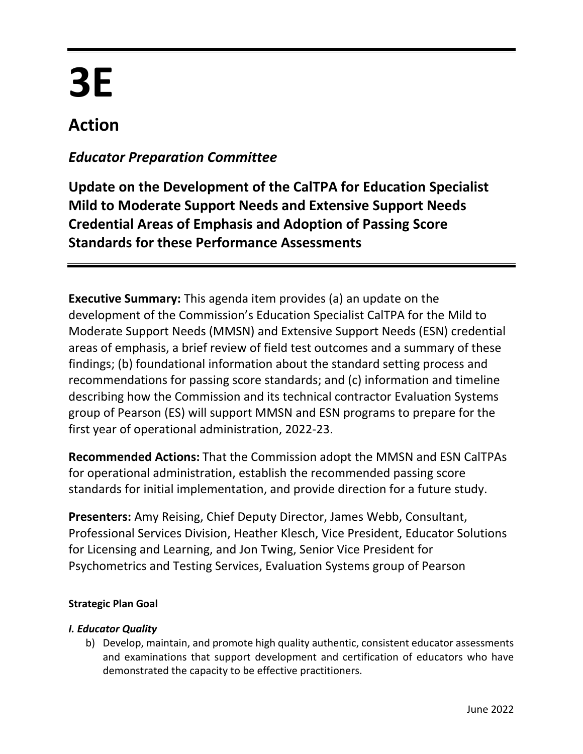# **3E**

# **Action**

# *Educator Preparation Committee*

**Update on the Development of the CalTPA for Education Specialist Mild to Moderate Support Needs and Extensive Support Needs Credential Areas of Emphasis and Adoption of Passing Score Standards for these Performance Assessments**

**Executive Summary:** This agenda item provides (a) an update on the development of the Commission's Education Specialist CalTPA for the Mild to Moderate Support Needs (MMSN) and Extensive Support Needs (ESN) credential areas of emphasis, a brief review of field test outcomes and a summary of these findings; (b) foundational information about the standard setting process and recommendations for passing score standards; and (c) information and timeline describing how the Commission and its technical contractor Evaluation Systems group of Pearson (ES) will support MMSN and ESN programs to prepare for the first year of operational administration, 2022-23.

**Recommended Actions:** That the Commission adopt the MMSN and ESN CalTPAs for operational administration, establish the recommended passing score standards for initial implementation, and provide direction for a future study.

**Presenters:** Amy Reising, Chief Deputy Director, James Webb, Consultant, Professional Services Division, Heather Klesch, Vice President, Educator Solutions for Licensing and Learning, and Jon Twing, Senior Vice President for Psychometrics and Testing Services, Evaluation Systems group of Pearson

# **Strategic Plan Goal**

# *I. Educator Quality*

b) Develop, maintain, and promote high quality authentic, consistent educator assessments and examinations that support development and certification of educators who have demonstrated the capacity to be effective practitioners.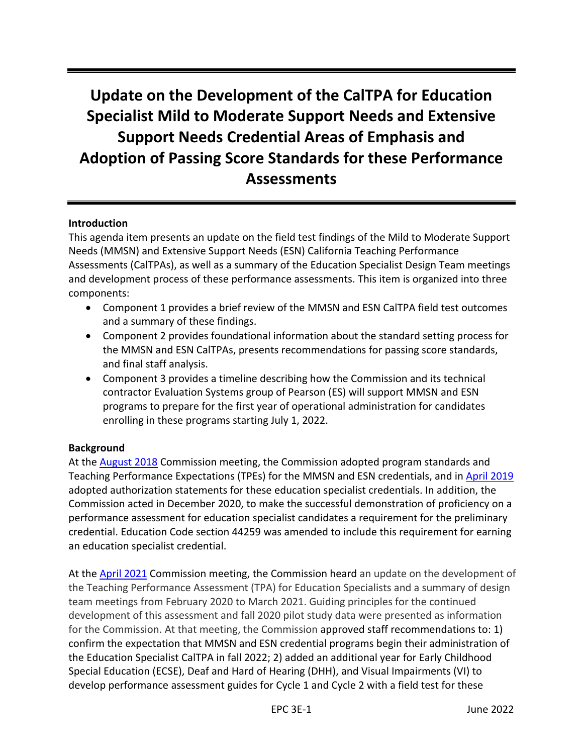# **Update on the Development of the CalTPA for Education Specialist Mild to Moderate Support Needs and Extensive Support Needs Credential Areas of Emphasis and Adoption of Passing Score Standards for these Performance Assessments**

# **Introduction**

This agenda item presents an update on the field test findings of the Mild to Moderate Support Needs (MMSN) and Extensive Support Needs (ESN) California Teaching Performance Assessments (CalTPAs), as well as a summary of the Education Specialist Design Team meetings and development process of these performance assessments. This item is organized into three components:

- Component 1 provides a brief review of the MMSN and ESN CalTPA field test outcomes and a summary of these findings.
- Component 2 provides foundational information about the standard setting process for the MMSN and ESN CalTPAs, presents recommendations for passing score standards, and final staff analysis.
- Component 3 provides a timeline describing how the Commission and its technical contractor Evaluation Systems group of Pearson (ES) will support MMSN and ESN programs to prepare for the first year of operational administration for candidates enrolling in these programs starting July 1, 2022.

## **Background**

At the [August 2018](https://www.ctc.ca.gov/docs/default-source/commission/agendas/2018-08/2018-08-2e.pdf?sfvrsn=2) Commission meeting, the Commission adopted program standards and Teaching Performance Expectations (TPEs) for the MMSN and ESN credentials, and in [April 2019](https://www.ctc.ca.gov/docs/default-source/commission/agendas/2019-04/2019-04-4c.pdf?sfvrsn=536f53b1_2) adopted authorization statements for these education specialist credentials. In addition, the Commission acted in December 2020, to make the successful demonstration of proficiency on a performance assessment for education specialist candidates a requirement for the preliminary credential. Education Code section 44259 was amended to include this requirement for earning an education specialist credential.

At the **April 2021** Commission meeting, the Commission heard an update on the development of the Teaching Performance Assessment (TPA) for Education Specialists and a summary of design team meetings from February 2020 to March 2021. Guiding principles for the continued development of this assessment and fall 2020 pilot study data were presented as information for the Commission. At that meeting, the Commission approved staff recommendations to: 1) confirm the expectation that MMSN and ESN credential programs begin their administration of the Education Specialist CalTPA in fall 2022; 2) added an additional year for Early Childhood Special Education (ECSE), Deaf and Hard of Hearing (DHH), and Visual Impairments (VI) to develop performance assessment guides for Cycle 1 and Cycle 2 with a field test for these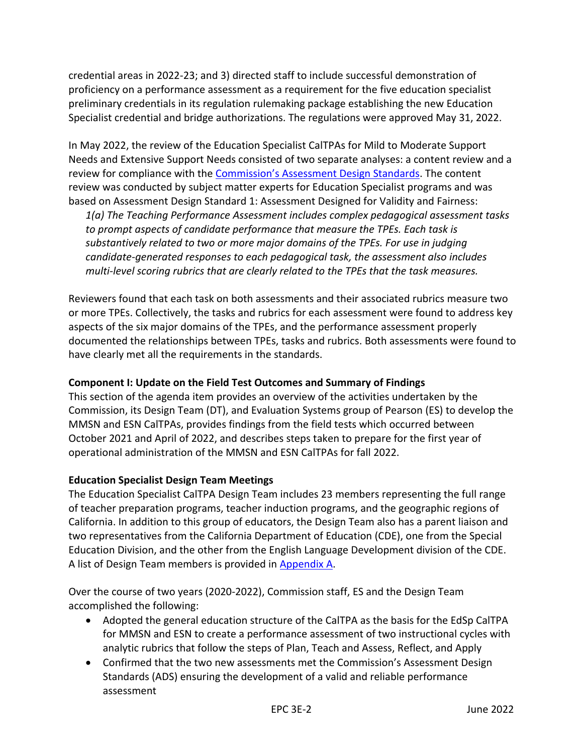credential areas in 2022-23; and 3) directed staff to include successful demonstration of proficiency on a performance assessment as a requirement for the five education specialist preliminary credentials in its regulation rulemaking package establishing the new Education Specialist credential and bridge authorizations. The regulations were approved May 31, 2022.

In May 2022, the review of the Education Specialist CalTPAs for Mild to Moderate Support Needs and Extensive Support Needs consisted of two separate analyses: a content review and a review for compliance with the [Commission's Assessment Design Standards](https://www.ctc.ca.gov/docs/default-source/educator-prep/tpa-files/tpa-assessment-design-standards.pdf?sfvrsn=2e393153_15). The content review was conducted by subject matter experts for Education Specialist programs and was based on Assessment Design Standard 1: Assessment Designed for Validity and Fairness:

*1(a) The Teaching Performance Assessment includes complex pedagogical assessment tasks to prompt aspects of candidate performance that measure the TPEs. Each task is substantively related to two or more major domains of the TPEs. For use in judging candidate-generated responses to each pedagogical task, the assessment also includes multi-level scoring rubrics that are clearly related to the TPEs that the task measures.*

Reviewers found that each task on both assessments and their associated rubrics measure two or more TPEs. Collectively, the tasks and rubrics for each assessment were found to address key aspects of the six major domains of the TPEs, and the performance assessment properly documented the relationships between TPEs, tasks and rubrics. Both assessments were found to have clearly met all the requirements in the standards.

# **Component I: Update on the Field Test Outcomes and Summary of Findings**

This section of the agenda item provides an overview of the activities undertaken by the Commission, its Design Team (DT), and Evaluation Systems group of Pearson (ES) to develop the MMSN and ESN CalTPAs, provides findings from the field tests which occurred between October 2021 and April of 2022, and describes steps taken to prepare for the first year of operational administration of the MMSN and ESN CalTPAs for fall 2022.

## **Education Specialist Design Team Meetings**

The Education Specialist CalTPA Design Team includes 23 members representing the full range of teacher preparation programs, teacher induction programs, and the geographic regions of California. In addition to this group of educators, the Design Team also has a parent liaison and two representatives from the California Department of Education (CDE), one from the Special Education Division, and the other from the English Language Development division of the CDE. A list of Design Team members is provided in [Appendix A.](#page-19-0)

Over the course of two years (2020-2022), Commission staff, ES and the Design Team accomplished the following:

- Adopted the general education structure of the CalTPA as the basis for the EdSp CalTPA for MMSN and ESN to create a performance assessment of two instructional cycles with analytic rubrics that follow the steps of Plan, Teach and Assess, Reflect, and Apply
- Confirmed that the two new assessments met the Commission's Assessment Design Standards (ADS) ensuring the development of a valid and reliable performance assessment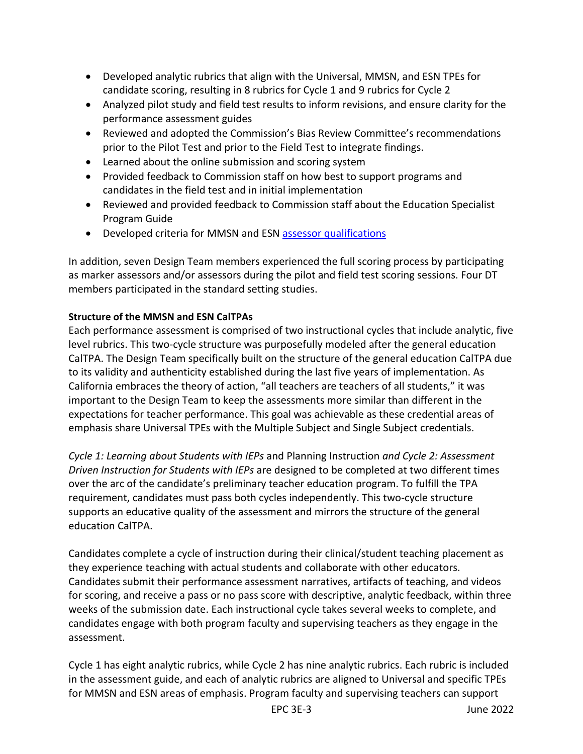- Developed analytic rubrics that align with the Universal, MMSN, and ESN TPEs for candidate scoring, resulting in 8 rubrics for Cycle 1 and 9 rubrics for Cycle 2
- Analyzed pilot study and field test results to inform revisions, and ensure clarity for the performance assessment guides
- Reviewed and adopted the Commission's Bias Review Committee's recommendations prior to the Pilot Test and prior to the Field Test to integrate findings.
- Learned about the online submission and scoring system
- Provided feedback to Commission staff on how best to support programs and candidates in the field test and in initial implementation
- Reviewed and provided feedback to Commission staff about the Education Specialist Program Guide
- Developed criteria for MMSN and ESN [assessor qualifications](https://www.ctc.ca.gov/docs/default-source/commission/agendas/2021-04/2021-04-4b.pdf?sfvrsn=b3382bb1_10)

In addition, seven Design Team members experienced the full scoring process by participating as marker assessors and/or assessors during the pilot and field test scoring sessions. Four DT members participated in the standard setting studies.

# **Structure of the MMSN and ESN CalTPAs**

Each performance assessment is comprised of two instructional cycles that include analytic, five level rubrics. This two-cycle structure was purposefully modeled after the general education CalTPA. The Design Team specifically built on the structure of the general education CalTPA due to its validity and authenticity established during the last five years of implementation. As California embraces the theory of action, "all teachers are teachers of all students," it was important to the Design Team to keep the assessments more similar than different in the expectations for teacher performance. This goal was achievable as these credential areas of emphasis share Universal TPEs with the Multiple Subject and Single Subject credentials.

*Cycle 1: Learning about Students with IEPs* and Planning Instruction *and Cycle 2: Assessment Driven Instruction for Students with IEPs* are designed to be completed at two different times over the arc of the candidate's preliminary teacher education program. To fulfill the TPA requirement, candidates must pass both cycles independently. This two-cycle structure supports an educative quality of the assessment and mirrors the structure of the general education CalTPA.

Candidates complete a cycle of instruction during their clinical/student teaching placement as they experience teaching with actual students and collaborate with other educators. Candidates submit their performance assessment narratives, artifacts of teaching, and videos for scoring, and receive a pass or no pass score with descriptive, analytic feedback, within three weeks of the submission date. Each instructional cycle takes several weeks to complete, and candidates engage with both program faculty and supervising teachers as they engage in the assessment.

Cycle 1 has eight analytic rubrics, while Cycle 2 has nine analytic rubrics. Each rubric is included in the assessment guide, and each of analytic rubrics are aligned to Universal and specific TPEs for MMSN and ESN areas of emphasis. Program faculty and supervising teachers can support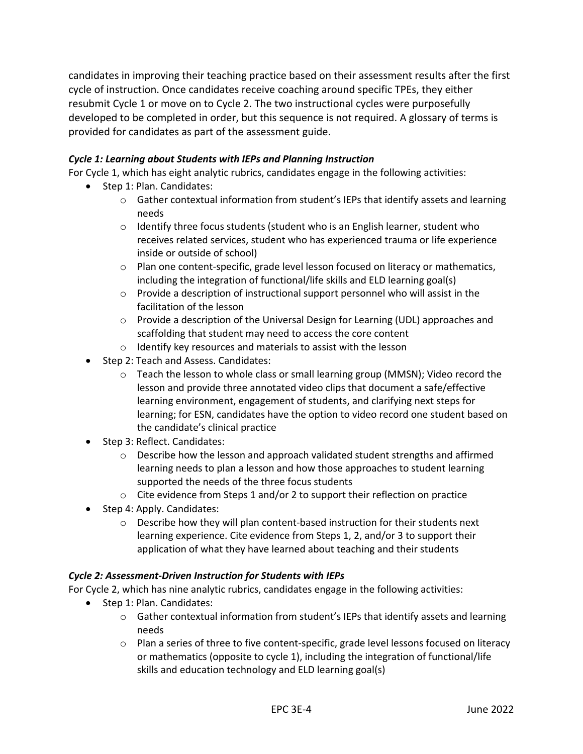candidates in improving their teaching practice based on their assessment results after the first cycle of instruction. Once candidates receive coaching around specific TPEs, they either resubmit Cycle 1 or move on to Cycle 2. The two instructional cycles were purposefully developed to be completed in order, but this sequence is not required. A glossary of terms is provided for candidates as part of the assessment guide.

# *Cycle 1: Learning about Students with IEPs and Planning Instruction*

For Cycle 1, which has eight analytic rubrics, candidates engage in the following activities:

- Step 1: Plan. Candidates:
	- $\circ$  Gather contextual information from student's IEPs that identify assets and learning needs
	- $\circ$  Identify three focus students (student who is an English learner, student who receives related services, student who has experienced trauma or life experience inside or outside of school)
	- $\circ$  Plan one content-specific, grade level lesson focused on literacy or mathematics, including the integration of functional/life skills and ELD learning goal(s)
	- $\circ$  Provide a description of instructional support personnel who will assist in the facilitation of the lesson
	- $\circ$  Provide a description of the Universal Design for Learning (UDL) approaches and scaffolding that student may need to access the core content
	- o Identify key resources and materials to assist with the lesson
- Step 2: Teach and Assess. Candidates:
	- $\circ$  Teach the lesson to whole class or small learning group (MMSN); Video record the lesson and provide three annotated video clips that document a safe/effective learning environment, engagement of students, and clarifying next steps for learning; for ESN, candidates have the option to video record one student based on the candidate's clinical practice
- Step 3: Reflect. Candidates:
	- $\circ$  Describe how the lesson and approach validated student strengths and affirmed learning needs to plan a lesson and how those approaches to student learning supported the needs of the three focus students
	- o Cite evidence from Steps 1 and/or 2 to support their reflection on practice
- Step 4: Apply. Candidates:
	- o Describe how they will plan content-based instruction for their students next learning experience. Cite evidence from Steps 1, 2, and/or 3 to support their application of what they have learned about teaching and their students

## *Cycle 2: Assessment-Driven Instruction for Students with IEPs*

For Cycle 2, which has nine analytic rubrics, candidates engage in the following activities:

- Step 1: Plan. Candidates:
	- $\circ$  Gather contextual information from student's IEPs that identify assets and learning needs
	- $\circ$  Plan a series of three to five content-specific, grade level lessons focused on literacy or mathematics (opposite to cycle 1), including the integration of functional/life skills and education technology and ELD learning goal(s)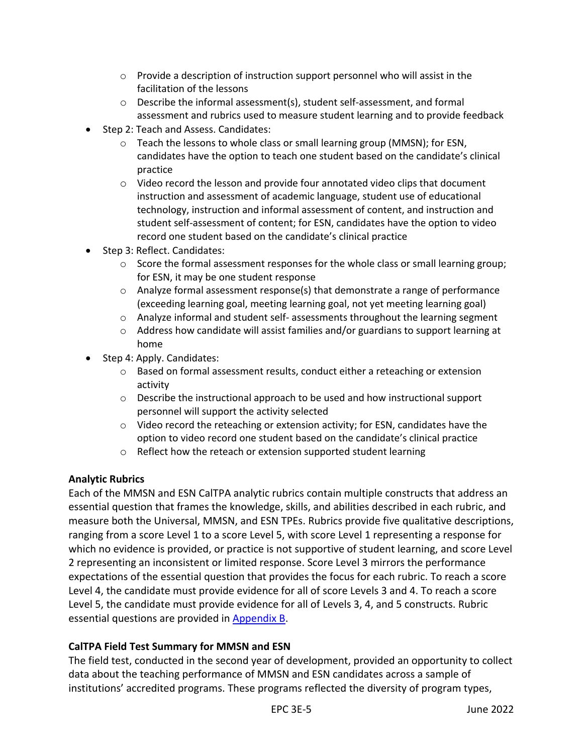- o Provide a description of instruction support personnel who will assist in the facilitation of the lessons
- $\circ$  Describe the informal assessment(s), student self-assessment, and formal assessment and rubrics used to measure student learning and to provide feedback
- Step 2: Teach and Assess. Candidates:
	- $\circ$  Teach the lessons to whole class or small learning group (MMSN); for ESN, candidates have the option to teach one student based on the candidate's clinical practice
	- $\circ$  Video record the lesson and provide four annotated video clips that document instruction and assessment of academic language, student use of educational technology, instruction and informal assessment of content, and instruction and student self-assessment of content; for ESN, candidates have the option to video record one student based on the candidate's clinical practice
- Step 3: Reflect. Candidates:
	- $\circ$  Score the formal assessment responses for the whole class or small learning group; for ESN, it may be one student response
	- $\circ$  Analyze formal assessment response(s) that demonstrate a range of performance (exceeding learning goal, meeting learning goal, not yet meeting learning goal)
	- $\circ$  Analyze informal and student self- assessments throughout the learning segment
	- $\circ$  Address how candidate will assist families and/or guardians to support learning at home
- Step 4: Apply. Candidates:
	- $\circ$  Based on formal assessment results, conduct either a reteaching or extension activity
	- $\circ$  Describe the instructional approach to be used and how instructional support personnel will support the activity selected
	- $\circ$  Video record the reteaching or extension activity; for ESN, candidates have the option to video record one student based on the candidate's clinical practice
	- o Reflect how the reteach or extension supported student learning

# **Analytic Rubrics**

Each of the MMSN and ESN CalTPA analytic rubrics contain multiple constructs that address an essential question that frames the knowledge, skills, and abilities described in each rubric, and measure both the Universal, MMSN, and ESN TPEs. Rubrics provide five qualitative descriptions, ranging from a score Level 1 to a score Level 5, with score Level 1 representing a response for which no evidence is provided, or practice is not supportive of student learning, and score Level 2 representing an inconsistent or limited response. Score Level 3 mirrors the performance expectations of the essential question that provides the focus for each rubric. To reach a score Level 4, the candidate must provide evidence for all of score Levels 3 and 4. To reach a score Level 5, the candidate must provide evidence for all of Levels 3, 4, and 5 constructs. Rubric essential questions are provided in [Appendix B.](#page-20-0)

# **CalTPA Field Test Summary for MMSN and ESN**

The field test, conducted in the second year of development, provided an opportunity to collect data about the teaching performance of MMSN and ESN candidates across a sample of institutions' accredited programs. These programs reflected the diversity of program types,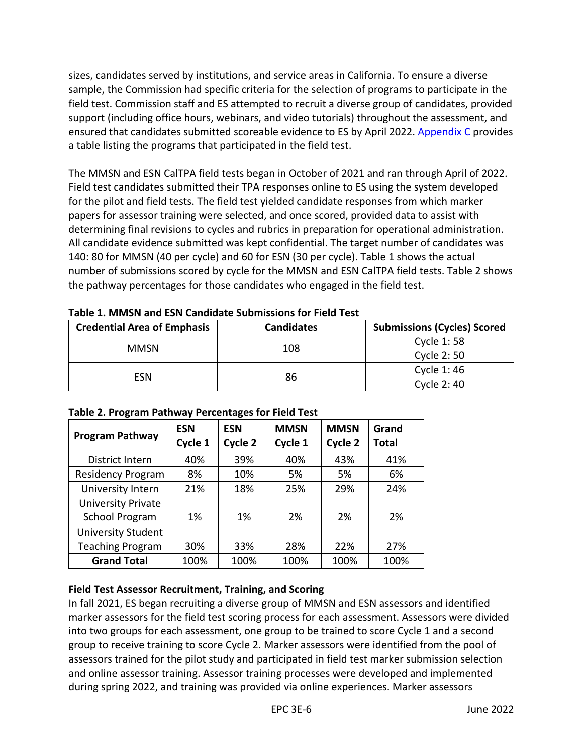sizes, candidates served by institutions, and service areas in California. To ensure a diverse sample, the Commission had specific criteria for the selection of programs to participate in the field test. Commission staff and ES attempted to recruit a diverse group of candidates, provided support (including office hours, webinars, and video tutorials) throughout the assessment, and ensured that candidates submitted scoreable evidence to ES by April 2022. [Appendix C](#page-22-0) provides a table listing the programs that participated in the field test.

The MMSN and ESN CalTPA field tests began in October of 2021 and ran through April of 2022. Field test candidates submitted their TPA responses online to ES using the system developed for the pilot and field tests. The field test yielded candidate responses from which marker papers for assessor training were selected, and once scored, provided data to assist with determining final revisions to cycles and rubrics in preparation for operational administration. All candidate evidence submitted was kept confidential. The target number of candidates was 140: 80 for MMSN (40 per cycle) and 60 for ESN (30 per cycle). Table 1 shows the actual number of submissions scored by cycle for the MMSN and ESN CalTPA field tests. Table 2 shows the pathway percentages for those candidates who engaged in the field test.

| <b>Credential Area of Emphasis</b> | <b>Candidates</b> | <b>Submissions (Cycles) Scored</b> |
|------------------------------------|-------------------|------------------------------------|
|                                    |                   | Cycle 1:58                         |
| <b>MMSN</b>                        | 108               | Cycle 2:50                         |
| ESN                                | 86                | Cycle 1:46                         |
|                                    |                   | Cycle 2:40                         |

**Table 1. MMSN and ESN Candidate Submissions for Field Test**

| <b>Program Pathway</b>    | <b>ESN</b><br>Cycle 1 | <b>ESN</b><br>Cycle 2 | <b>MMSN</b><br>Cycle 1 | <b>MMSN</b><br>Cycle 2 | Grand<br><b>Total</b> |
|---------------------------|-----------------------|-----------------------|------------------------|------------------------|-----------------------|
| District Intern           | 40%                   | 39%                   | 40%                    | 43%                    | 41%                   |
| <b>Residency Program</b>  | 8%                    | 10%                   | 5%                     | 5%                     | 6%                    |
| University Intern         | 21%                   | 18%                   | 25%                    | 29%                    | 24%                   |
| <b>University Private</b> |                       |                       |                        |                        |                       |
| <b>School Program</b>     | 1%                    | 1%                    | 2%                     | 2%                     | 2%                    |
| <b>University Student</b> |                       |                       |                        |                        |                       |
| <b>Teaching Program</b>   | 30%                   | 33%                   | 28%                    | 22%                    | 27%                   |
| <b>Grand Total</b>        | 100%                  | 100%                  | 100%                   | 100%                   | 100%                  |

**Table 2. Program Pathway Percentages for Field Test**

# **Field Test Assessor Recruitment, Training, and Scoring**

In fall 2021, ES began recruiting a diverse group of MMSN and ESN assessors and identified marker assessors for the field test scoring process for each assessment. Assessors were divided into two groups for each assessment, one group to be trained to score Cycle 1 and a second group to receive training to score Cycle 2. Marker assessors were identified from the pool of assessors trained for the pilot study and participated in field test marker submission selection and online assessor training. Assessor training processes were developed and implemented during spring 2022, and training was provided via online experiences. Marker assessors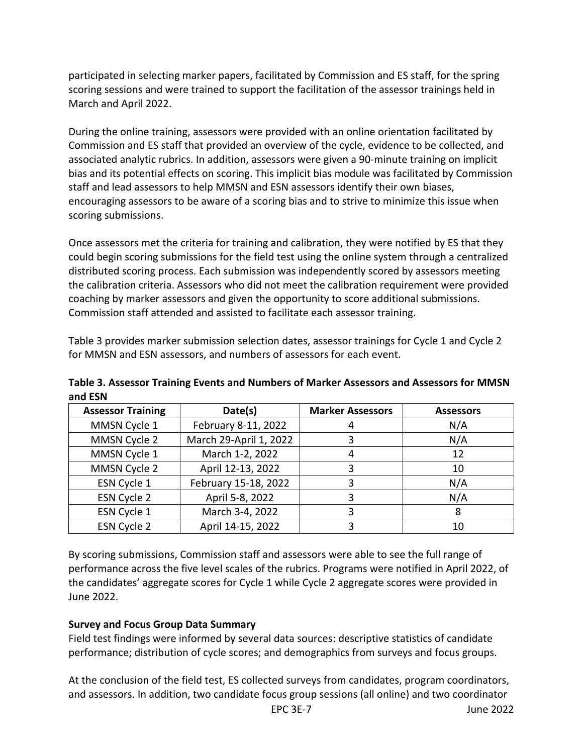participated in selecting marker papers, facilitated by Commission and ES staff, for the spring scoring sessions and were trained to support the facilitation of the assessor trainings held in March and April 2022.

During the online training, assessors were provided with an online orientation facilitated by Commission and ES staff that provided an overview of the cycle, evidence to be collected, and associated analytic rubrics. In addition, assessors were given a 90-minute training on implicit bias and its potential effects on scoring. This implicit bias module was facilitated by Commission staff and lead assessors to help MMSN and ESN assessors identify their own biases, encouraging assessors to be aware of a scoring bias and to strive to minimize this issue when scoring submissions.

Once assessors met the criteria for training and calibration, they were notified by ES that they could begin scoring submissions for the field test using the online system through a centralized distributed scoring process. Each submission was independently scored by assessors meeting the calibration criteria. Assessors who did not meet the calibration requirement were provided coaching by marker assessors and given the opportunity to score additional submissions. Commission staff attended and assisted to facilitate each assessor training.

Table 3 provides marker submission selection dates, assessor trainings for Cycle 1 and Cycle 2 for MMSN and ESN assessors, and numbers of assessors for each event.

| <b>Assessor Training</b> | Date(s)                | <b>Marker Assessors</b> | <b>Assessors</b> |
|--------------------------|------------------------|-------------------------|------------------|
| MMSN Cycle 1             | February 8-11, 2022    |                         | N/A              |
| MMSN Cycle 2             | March 29-April 1, 2022 |                         | N/A              |
| MMSN Cycle 1             | March 1-2, 2022        |                         | 12               |
| MMSN Cycle 2             | April 12-13, 2022      |                         | 10               |
| ESN Cycle 1              | February 15-18, 2022   |                         | N/A              |
| ESN Cycle 2              | April 5-8, 2022        |                         | N/A              |
| ESN Cycle 1              | March 3-4, 2022        |                         |                  |
| ESN Cycle 2              | April 14-15, 2022      |                         | 10               |

**Table 3. Assessor Training Events and Numbers of Marker Assessors and Assessors for MMSN and ESN**

By scoring submissions, Commission staff and assessors were able to see the full range of performance across the five level scales of the rubrics. Programs were notified in April 2022, of the candidates' aggregate scores for Cycle 1 while Cycle 2 aggregate scores were provided in June 2022.

# **Survey and Focus Group Data Summary**

Field test findings were informed by several data sources: descriptive statistics of candidate performance; distribution of cycle scores; and demographics from surveys and focus groups.

At the conclusion of the field test, ES collected surveys from candidates, program coordinators, and assessors. In addition, two candidate focus group sessions (all online) and two coordinator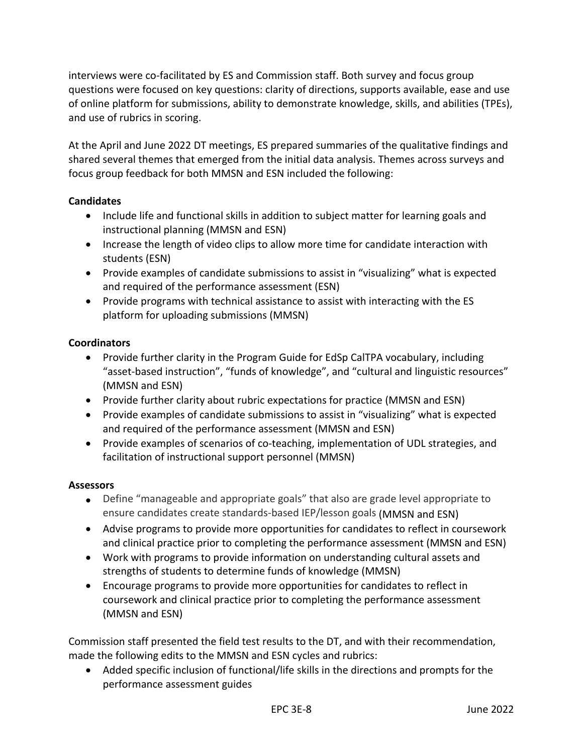interviews were co-facilitated by ES and Commission staff. Both survey and focus group questions were focused on key questions: clarity of directions, supports available, ease and use of online platform for submissions, ability to demonstrate knowledge, skills, and abilities (TPEs), and use of rubrics in scoring.

At the April and June 2022 DT meetings, ES prepared summaries of the qualitative findings and shared several themes that emerged from the initial data analysis. Themes across surveys and focus group feedback for both MMSN and ESN included the following:

# **Candidates**

- Include life and functional skills in addition to subject matter for learning goals and instructional planning (MMSN and ESN)
- Increase the length of video clips to allow more time for candidate interaction with students (ESN)
- Provide examples of candidate submissions to assist in "visualizing" what is expected and required of the performance assessment (ESN)
- Provide programs with technical assistance to assist with interacting with the ES platform for uploading submissions (MMSN)

# **Coordinators**

- Provide further clarity in the Program Guide for EdSp CalTPA vocabulary, including "asset-based instruction", "funds of knowledge", and "cultural and linguistic resources" (MMSN and ESN)
- Provide further clarity about rubric expectations for practice (MMSN and ESN)
- Provide examples of candidate submissions to assist in "visualizing" what is expected and required of the performance assessment (MMSN and ESN)
- Provide examples of scenarios of co-teaching, implementation of UDL strategies, and facilitation of instructional support personnel (MMSN)

# **Assessors**

- Define "manageable and appropriate goals" that also are grade level appropriate to ensure candidates create standards-based IEP/lesson goals (MMSN and ESN)
- Advise programs to provide more opportunities for candidates to reflect in coursework and clinical practice prior to completing the performance assessment (MMSN and ESN)
- Work with programs to provide information on understanding cultural assets and strengths of students to determine funds of knowledge (MMSN)
- Encourage programs to provide more opportunities for candidates to reflect in coursework and clinical practice prior to completing the performance assessment (MMSN and ESN)

Commission staff presented the field test results to the DT, and with their recommendation, made the following edits to the MMSN and ESN cycles and rubrics:

• Added specific inclusion of functional/life skills in the directions and prompts for the performance assessment guides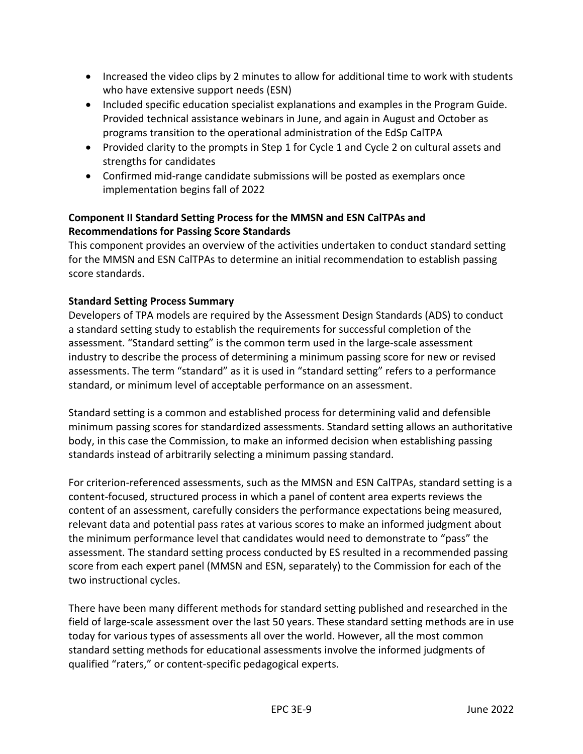- Increased the video clips by 2 minutes to allow for additional time to work with students who have extensive support needs (ESN)
- Included specific education specialist explanations and examples in the Program Guide. Provided technical assistance webinars in June, and again in August and October as programs transition to the operational administration of the EdSp CalTPA
- Provided clarity to the prompts in Step 1 for Cycle 1 and Cycle 2 on cultural assets and strengths for candidates
- Confirmed mid-range candidate submissions will be posted as exemplars once implementation begins fall of 2022

# **Component II Standard Setting Process for the MMSN and ESN CalTPAs and Recommendations for Passing Score Standards**

This component provides an overview of the activities undertaken to conduct standard setting for the MMSN and ESN CalTPAs to determine an initial recommendation to establish passing score standards.

# **Standard Setting Process Summary**

Developers of TPA models are required by the Assessment Design Standards (ADS) to conduct a standard setting study to establish the requirements for successful completion of the assessment. "Standard setting" is the common term used in the large-scale assessment industry to describe the process of determining a minimum passing score for new or revised assessments. The term "standard" as it is used in "standard setting" refers to a performance standard, or minimum level of acceptable performance on an assessment.

Standard setting is a common and established process for determining valid and defensible minimum passing scores for standardized assessments. Standard setting allows an authoritative body, in this case the Commission, to make an informed decision when establishing passing standards instead of arbitrarily selecting a minimum passing standard.

For criterion-referenced assessments, such as the MMSN and ESN CalTPAs, standard setting is a content-focused, structured process in which a panel of content area experts reviews the content of an assessment, carefully considers the performance expectations being measured, relevant data and potential pass rates at various scores to make an informed judgment about the minimum performance level that candidates would need to demonstrate to "pass" the assessment. The standard setting process conducted by ES resulted in a recommended passing score from each expert panel (MMSN and ESN, separately) to the Commission for each of the two instructional cycles.

There have been many different methods for standard setting published and researched in the field of large-scale assessment over the last 50 years. These standard setting methods are in use today for various types of assessments all over the world. However, all the most common standard setting methods for educational assessments involve the informed judgments of qualified "raters," or content-specific pedagogical experts.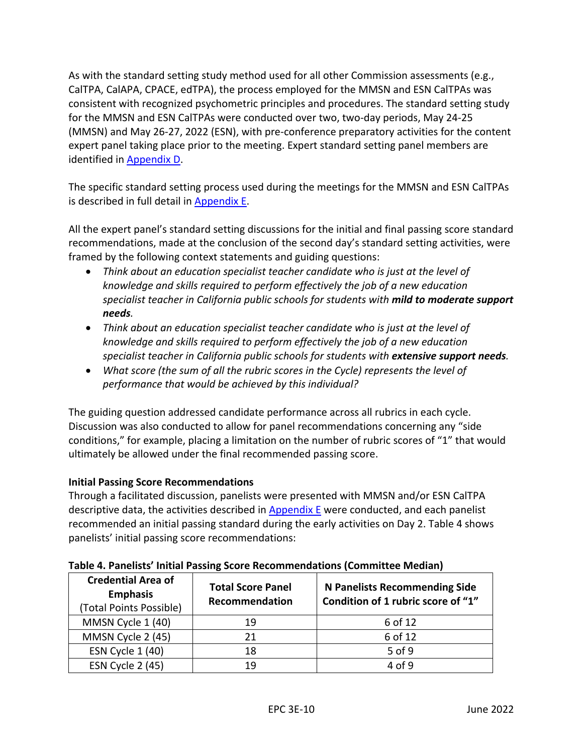As with the standard setting study method used for all other Commission assessments (e.g., CalTPA, CalAPA, CPACE, edTPA), the process employed for the MMSN and ESN CalTPAs was consistent with recognized psychometric principles and procedures. The standard setting study for the MMSN and ESN CalTPAs were conducted over two, two-day periods, May 24-25 (MMSN) and May 26-27, 2022 (ESN), with pre-conference preparatory activities for the content expert panel taking place prior to the meeting. Expert standard setting panel members are identified in [Appendix D.](#page-23-0)

The specific standard setting process used during the meetings for the MMSN and ESN CalTPAs is described in full detail in [Appendix E.](#page-24-0)

All the expert panel's standard setting discussions for the initial and final passing score standard recommendations, made at the conclusion of the second day's standard setting activities, were framed by the following context statements and guiding questions:

- *Think about an education specialist teacher candidate who is just at the level of knowledge and skills required to perform effectively the job of a new education specialist teacher in California public schools for students with mild to moderate support needs.*
- *Think about an education specialist teacher candidate who is just at the level of knowledge and skills required to perform effectively the job of a new education specialist teacher in California public schools for students with extensive support needs.*
- *What score (the sum of all the rubric scores in the Cycle) represents the level of performance that would be achieved by this individual?*

The guiding question addressed candidate performance across all rubrics in each cycle. Discussion was also conducted to allow for panel recommendations concerning any "side conditions," for example, placing a limitation on the number of rubric scores of "1" that would ultimately be allowed under the final recommended passing score.

# **Initial Passing Score Recommendations**

Through a facilitated discussion, panelists were presented with MMSN and/or ESN CalTPA descriptive data, the activities described in [Appendix E](#page-24-0) were conducted, and each panelist recommended an initial passing standard during the early activities on Day 2. Table 4 shows panelists' initial passing score recommendations:

| <b>Credential Area of</b><br><b>Emphasis</b><br>(Total Points Possible) | <b>Total Score Panel</b><br>Recommendation | <b>N Panelists Recommending Side</b><br>Condition of 1 rubric score of "1" |
|-------------------------------------------------------------------------|--------------------------------------------|----------------------------------------------------------------------------|
| MMSN Cycle 1 (40)                                                       | 19                                         | 6 of 12                                                                    |
| MMSN Cycle 2 (45)                                                       | 21                                         | 6 of 12                                                                    |
| ESN Cycle 1 (40)                                                        | 18                                         | 5 of 9                                                                     |
| ESN Cycle 2 (45)                                                        | 19                                         | 4 of 9                                                                     |

# **Table 4. Panelists' Initial Passing Score Recommendations (Committee Median)**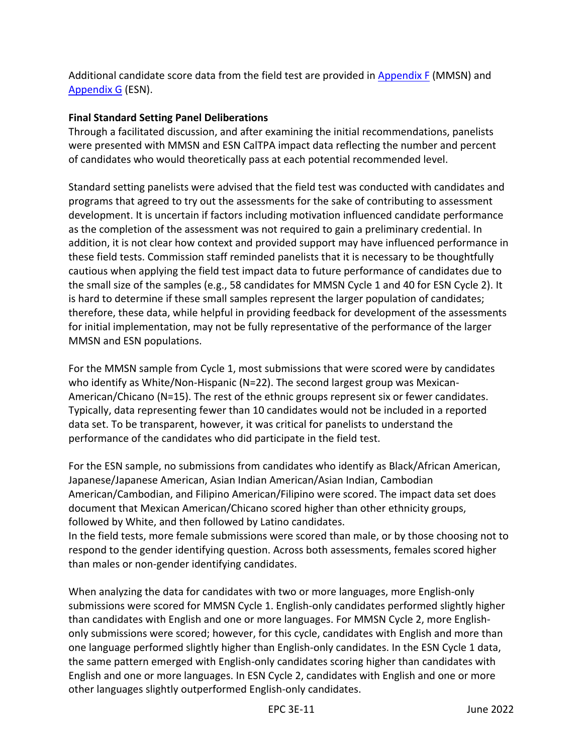Additional candidate score data from the field test are provided in [Appendix F](#page-27-0) (MMSN) and [Appendix G](#page-31-0) (ESN).

# **Final Standard Setting Panel Deliberations**

Through a facilitated discussion, and after examining the initial recommendations, panelists were presented with MMSN and ESN CalTPA impact data reflecting the number and percent of candidates who would theoretically pass at each potential recommended level.

Standard setting panelists were advised that the field test was conducted with candidates and programs that agreed to try out the assessments for the sake of contributing to assessment development. It is uncertain if factors including motivation influenced candidate performance as the completion of the assessment was not required to gain a preliminary credential. In addition, it is not clear how context and provided support may have influenced performance in these field tests. Commission staff reminded panelists that it is necessary to be thoughtfully cautious when applying the field test impact data to future performance of candidates due to the small size of the samples (e.g., 58 candidates for MMSN Cycle 1 and 40 for ESN Cycle 2). It is hard to determine if these small samples represent the larger population of candidates; therefore, these data, while helpful in providing feedback for development of the assessments for initial implementation, may not be fully representative of the performance of the larger MMSN and ESN populations.

For the MMSN sample from Cycle 1, most submissions that were scored were by candidates who identify as White/Non-Hispanic (N=22). The second largest group was Mexican-American/Chicano (N=15). The rest of the ethnic groups represent six or fewer candidates. Typically, data representing fewer than 10 candidates would not be included in a reported data set. To be transparent, however, it was critical for panelists to understand the performance of the candidates who did participate in the field test.

For the ESN sample, no submissions from candidates who identify as Black/African American, Japanese/Japanese American, Asian Indian American/Asian Indian, Cambodian American/Cambodian, and Filipino American/Filipino were scored. The impact data set does document that Mexican American/Chicano scored higher than other ethnicity groups, followed by White, and then followed by Latino candidates.

In the field tests, more female submissions were scored than male, or by those choosing not to respond to the gender identifying question. Across both assessments, females scored higher than males or non-gender identifying candidates.

When analyzing the data for candidates with two or more languages, more English-only submissions were scored for MMSN Cycle 1. English-only candidates performed slightly higher than candidates with English and one or more languages. For MMSN Cycle 2, more Englishonly submissions were scored; however, for this cycle, candidates with English and more than one language performed slightly higher than English-only candidates. In the ESN Cycle 1 data, the same pattern emerged with English-only candidates scoring higher than candidates with English and one or more languages. In ESN Cycle 2, candidates with English and one or more other languages slightly outperformed English-only candidates.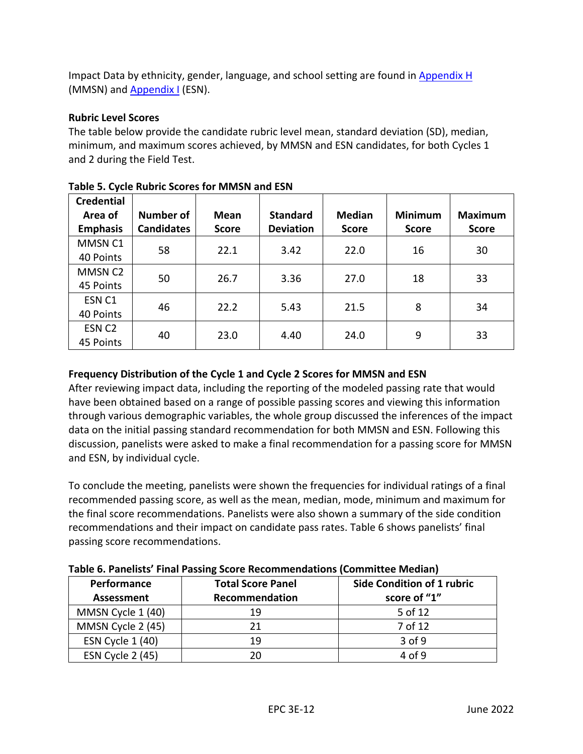Impact Data by ethnicity, gender, language, and school setting are found in [Appendix H](#page-34-0) (MMSN) and [Appendix I](#page-41-0) (ESN).

# **Rubric Level Scores**

The table below provide the candidate rubric level mean, standard deviation (SD), median, minimum, and maximum scores achieved, by MMSN and ESN candidates, for both Cycles 1 and 2 during the Field Test.

| <b>Credential</b>   |                   |              |                  |               |                |                |  |
|---------------------|-------------------|--------------|------------------|---------------|----------------|----------------|--|
| Area of             | Number of         | Mean         | <b>Standard</b>  | <b>Median</b> | <b>Minimum</b> | <b>Maximum</b> |  |
| <b>Emphasis</b>     | <b>Candidates</b> | <b>Score</b> | <b>Deviation</b> | <b>Score</b>  | <b>Score</b>   | <b>Score</b>   |  |
| MMSN <sub>C1</sub>  | 58                | 22.1         | 3.42             | 22.0          | 16             | 30             |  |
| 40 Points           |                   |              |                  |               |                |                |  |
| MMSN C <sub>2</sub> |                   | 26.7         | 3.36             | 27.0          | 18             | 33             |  |
| 45 Points           | 50                |              |                  |               |                |                |  |
| ESN <sub>C1</sub>   |                   | 22.2         |                  |               |                |                |  |
| 40 Points           | 46                |              | 5.43             | 21.5          | 8              | 34             |  |
| ESN <sub>C2</sub>   |                   |              |                  |               |                |                |  |
| 45 Points           | 40                | 23.0         | 4.40             | 24.0          | 9              | 33             |  |

# **Table 5. Cycle Rubric Scores for MMSN and ESN**

# **Frequency Distribution of the Cycle 1 and Cycle 2 Scores for MMSN and ESN**

After reviewing impact data, including the reporting of the modeled passing rate that would have been obtained based on a range of possible passing scores and viewing this information through various demographic variables, the whole group discussed the inferences of the impact data on the initial passing standard recommendation for both MMSN and ESN. Following this discussion, panelists were asked to make a final recommendation for a passing score for MMSN and ESN, by individual cycle.

To conclude the meeting, panelists were shown the frequencies for individual ratings of a final recommended passing score, as well as the mean, median, mode, minimum and maximum for the final score recommendations. Panelists were also shown a summary of the side condition recommendations and their impact on candidate pass rates. Table 6 shows panelists' final passing score recommendations.

|--|

| Performance<br><b>Assessment</b> | <b>Total Score Panel</b><br>Recommendation | Side Condition of 1 rubric<br>score of "1" |
|----------------------------------|--------------------------------------------|--------------------------------------------|
| MMSN Cycle 1 (40)                | 19                                         | 5 of 12                                    |
| MMSN Cycle 2 (45)                | 21                                         | 7 of 12                                    |
| ESN Cycle 1 (40)                 | 19                                         | 3 of 9                                     |
| ESN Cycle 2 (45)                 | 20                                         | 4 of 9                                     |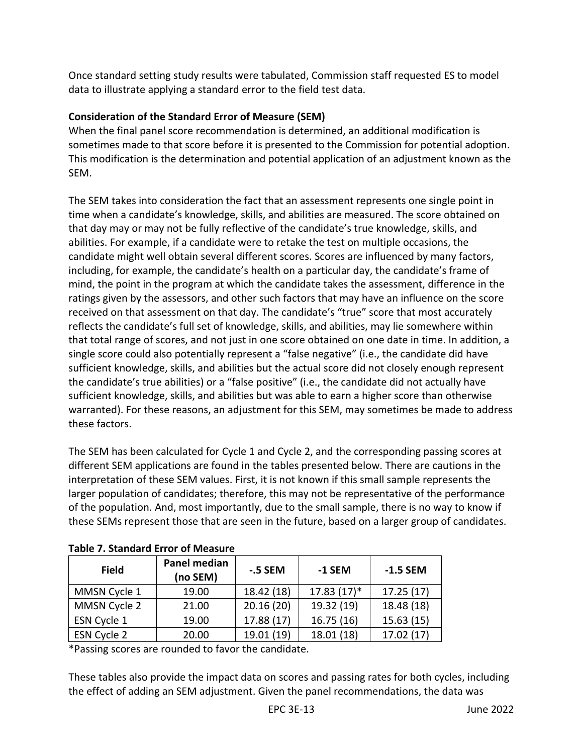Once standard setting study results were tabulated, Commission staff requested ES to model data to illustrate applying a standard error to the field test data.

# **Consideration of the Standard Error of Measure (SEM)**

When the final panel score recommendation is determined, an additional modification is sometimes made to that score before it is presented to the Commission for potential adoption. This modification is the determination and potential application of an adjustment known as the SEM.

The SEM takes into consideration the fact that an assessment represents one single point in time when a candidate's knowledge, skills, and abilities are measured. The score obtained on that day may or may not be fully reflective of the candidate's true knowledge, skills, and abilities. For example, if a candidate were to retake the test on multiple occasions, the candidate might well obtain several different scores. Scores are influenced by many factors, including, for example, the candidate's health on a particular day, the candidate's frame of mind, the point in the program at which the candidate takes the assessment, difference in the ratings given by the assessors, and other such factors that may have an influence on the score received on that assessment on that day. The candidate's "true" score that most accurately reflects the candidate's full set of knowledge, skills, and abilities, may lie somewhere within that total range of scores, and not just in one score obtained on one date in time. In addition, a single score could also potentially represent a "false negative" (i.e., the candidate did have sufficient knowledge, skills, and abilities but the actual score did not closely enough represent the candidate's true abilities) or a "false positive" (i.e., the candidate did not actually have sufficient knowledge, skills, and abilities but was able to earn a higher score than otherwise warranted). For these reasons, an adjustment for this SEM, may sometimes be made to address these factors.

The SEM has been calculated for Cycle 1 and Cycle 2, and the corresponding passing scores at different SEM applications are found in the tables presented below. There are cautions in the interpretation of these SEM values. First, it is not known if this small sample represents the larger population of candidates; therefore, this may not be representative of the performance of the population. And, most importantly, due to the small sample, there is no way to know if these SEMs represent those that are seen in the future, based on a larger group of candidates.

| <b>Field</b> | Panel median<br>(no SEM) | -.5 SEM    | -1 SEM       | $-1.5$ SEM |
|--------------|--------------------------|------------|--------------|------------|
| MMSN Cycle 1 | 19.00                    | 18.42 (18) | $17.83(17)*$ | 17.25(17)  |
| MMSN Cycle 2 | 21.00                    | 20.16(20)  | 19.32 (19)   | 18.48 (18) |
| ESN Cycle 1  | 19.00                    | 17.88 (17) | 16.75(16)    | 15.63(15)  |
| ESN Cycle 2  | 20.00                    | 19.01 (19) | 18.01 (18)   | 17.02 (17) |

**Table 7. Standard Error of Measure**

\*Passing scores are rounded to favor the candidate.

These tables also provide the impact data on scores and passing rates for both cycles, including the effect of adding an SEM adjustment. Given the panel recommendations, the data was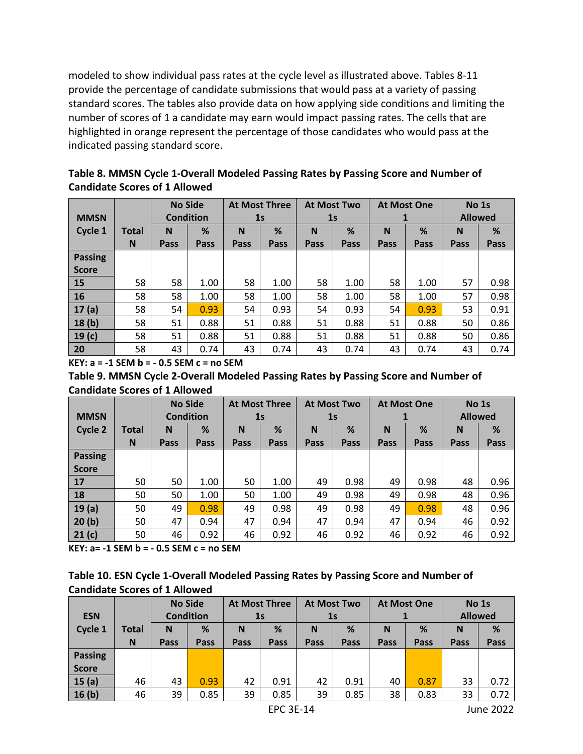modeled to show individual pass rates at the cycle level as illustrated above. Tables 8-11 provide the percentage of candidate submissions that would pass at a variety of passing standard scores. The tables also provide data on how applying side conditions and limiting the number of scores of 1 a candidate may earn would impact passing rates. The cells that are highlighted in orange represent the percentage of those candidates who would pass at the indicated passing standard score.

| Table 8. MMSN Cycle 1-Overall Modeled Passing Rates by Passing Score and Number of |
|------------------------------------------------------------------------------------|
| <b>Candidate Scores of 1 Allowed</b>                                               |

| <b>MMSN</b>       |              | <b>No Side</b><br><b>Condition</b> |      | <b>At Most Three</b><br>1 <sub>s</sub> |      | <b>At Most Two</b> | 1 <sub>s</sub> | <b>At Most One</b><br>1 |      | No 1s<br><b>Allowed</b> |      |
|-------------------|--------------|------------------------------------|------|----------------------------------------|------|--------------------|----------------|-------------------------|------|-------------------------|------|
| Cycle 1           | <b>Total</b> | N                                  | %    | N                                      | %    | N                  | %              | N                       | %    | N                       | %    |
|                   | N            | Pass                               | Pass | Pass                                   | Pass | Pass               | Pass           | Pass                    | Pass | Pass                    | Pass |
| <b>Passing</b>    |              |                                    |      |                                        |      |                    |                |                         |      |                         |      |
| <b>Score</b>      |              |                                    |      |                                        |      |                    |                |                         |      |                         |      |
| 15                | 58           | 58                                 | 1.00 | 58                                     | 1.00 | 58                 | 1.00           | 58                      | 1.00 | 57                      | 0.98 |
| 16                | 58           | 58                                 | 1.00 | 58                                     | 1.00 | 58                 | 1.00           | 58                      | 1.00 | 57                      | 0.98 |
| 17(a)             | 58           | 54                                 | 0.93 | 54                                     | 0.93 | 54                 | 0.93           | 54                      | 0.93 | 53                      | 0.91 |
| 18(b)             | 58           | 51                                 | 0.88 | 51                                     | 0.88 | 51                 | 0.88           | 51                      | 0.88 | 50                      | 0.86 |
| 19 <sub>(c)</sub> | 58           | 51                                 | 0.88 | 51                                     | 0.88 | 51                 | 0.88           | 51                      | 0.88 | 50                      | 0.86 |
| 20                | 58           | 43                                 | 0.74 | 43                                     | 0.74 | 43                 | 0.74           | 43                      | 0.74 | 43                      | 0.74 |

**KEY: a = -1 SEM b = - 0.5 SEM c = no SEM**

**Table 9. MMSN Cycle 2-Overall Modeled Passing Rates by Passing Score and Number of Candidate Scores of 1 Allowed**

|                |              |                  | <b>No Side</b> |             | <b>At Most Three</b> |      | <b>At Most Two</b> | <b>At Most One</b> |      | No 1s<br><b>Allowed</b> |      |
|----------------|--------------|------------------|----------------|-------------|----------------------|------|--------------------|--------------------|------|-------------------------|------|
| <b>MMSN</b>    |              | <b>Condition</b> |                |             | 1 <sub>s</sub>       |      | 1 <sub>s</sub>     |                    |      |                         |      |
| Cycle 2        | <b>Total</b> | N                | %              | N           | %                    | N    | %                  | N                  | %    | N                       | %    |
|                | N            | Pass             | Pass           | <b>Pass</b> | Pass                 | Pass | Pass               | Pass               | Pass | Pass                    | Pass |
| <b>Passing</b> |              |                  |                |             |                      |      |                    |                    |      |                         |      |
| <b>Score</b>   |              |                  |                |             |                      |      |                    |                    |      |                         |      |
| 17             | 50           | 50               | 1.00           | 50          | 1.00                 | 49   | 0.98               | 49                 | 0.98 | 48                      | 0.96 |
| 18             | 50           | 50               | 1.00           | 50          | 1.00                 | 49   | 0.98               | 49                 | 0.98 | 48                      | 0.96 |
| 19(a)          | 50           | 49               | 0.98           | 49          | 0.98                 | 49   | 0.98               | 49                 | 0.98 | 48                      | 0.96 |
| 20(b)          | 50           | 47               | 0.94           | 47          | 0.94                 | 47   | 0.94               | 47                 | 0.94 | 46                      | 0.92 |
| 21(c)          | 50           | 46               | 0.92           | 46          | 0.92                 | 46   | 0.92               | 46                 | 0.92 | 46                      | 0.92 |

**KEY: a= -1 SEM b = - 0.5 SEM c = no SEM**

| Table 10. ESN Cycle 1-Overall Modeled Passing Rates by Passing Score and Number of |
|------------------------------------------------------------------------------------|
| <b>Candidate Scores of 1 Allowed</b>                                               |

| <b>ESN</b>        |              | <b>No Side</b><br><b>Condition</b> |      | <b>At Most Three</b><br>1s |      | <b>At Most Two</b><br>1 <sub>s</sub> |      | <b>At Most One</b> |      | No 1s<br><b>Allowed</b> |           |
|-------------------|--------------|------------------------------------|------|----------------------------|------|--------------------------------------|------|--------------------|------|-------------------------|-----------|
| Cycle 1           | <b>Total</b> | N                                  | %    | N                          | %    | N                                    | %    | N                  | %    | N                       | %         |
|                   | N            | Pass                               | Pass | Pass                       | Pass | Pass                                 | Pass | Pass               | Pass | Pass                    | Pass      |
| <b>Passing</b>    |              |                                    |      |                            |      |                                      |      |                    |      |                         |           |
| <b>Score</b>      |              |                                    |      |                            |      |                                      |      |                    |      |                         |           |
| 15(a)             | 46           | 43                                 | 0.93 | 42                         | 0.91 | 42                                   | 0.91 | 40                 | 0.87 | 33                      | 0.72      |
| 16 <sub>(b)</sub> | 46           | 39                                 | 0.85 | 39                         | 0.85 | 39                                   | 0.85 | 38                 | 0.83 | 33                      | 0.72      |
| <b>EPC 3E-14</b>  |              |                                    |      |                            |      |                                      |      |                    |      |                         | June 2022 |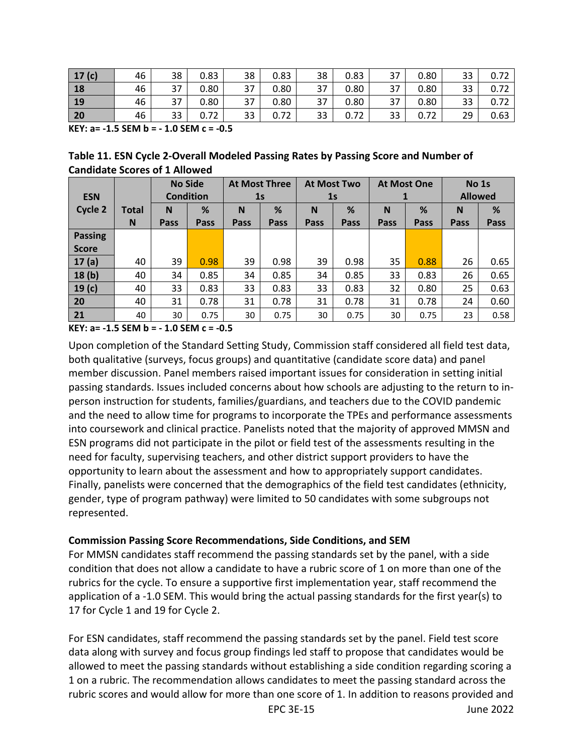| 17 $(c)$  | 46 | 38        | 0.83 | 38 | 0.83 | 38 | 0.83 | 37 | 0.80 | 33 | 0.72 |
|-----------|----|-----------|------|----|------|----|------|----|------|----|------|
| 18        | 46 | 37<br>، ب | 0.80 | 37 | 0.80 | 37 | 0.80 | 37 | 0.80 | 33 | 0.72 |
| <b>19</b> | 46 | 37<br>، ب | 0.80 | 37 | 0.80 | 37 | 0.80 | 37 | 0.80 | 33 | 0.72 |
| 20        | 46 | 33        | 0.72 | 33 | 0.72 | 33 | 0.72 | 33 | 0.72 | 29 | 0.63 |

**KEY: a= -1.5 SEM b = - 1.0 SEM c = -0.5**

**Table 11. ESN Cycle 2-Overall Modeled Passing Rates by Passing Score and Number of Candidate Scores of 1 Allowed**

|                   |              |      | <b>No Side</b>   | <b>At Most Three</b> |                | <b>At Most Two</b> |                | <b>At Most One</b> |      | No 1s |                |  |
|-------------------|--------------|------|------------------|----------------------|----------------|--------------------|----------------|--------------------|------|-------|----------------|--|
| <b>ESN</b>        |              |      | <b>Condition</b> |                      | 1 <sub>s</sub> |                    | 1 <sub>s</sub> |                    |      |       | <b>Allowed</b> |  |
| Cycle 2           | <b>Total</b> | N    | %                | N                    | %              | N                  | %              | N                  | %    | N     | %              |  |
|                   | N            | Pass | Pass             | Pass                 | Pass           | Pass               | Pass           | Pass               | Pass | Pass  | Pass           |  |
| <b>Passing</b>    |              |      |                  |                      |                |                    |                |                    |      |       |                |  |
| <b>Score</b>      |              |      |                  |                      |                |                    |                |                    |      |       |                |  |
| 17(a)             | 40           | 39   | 0.98             | 39                   | 0.98           | 39                 | 0.98           | 35                 | 0.88 | 26    | 0.65           |  |
| 18(b)             | 40           | 34   | 0.85             | 34                   | 0.85           | 34                 | 0.85           | 33                 | 0.83 | 26    | 0.65           |  |
| 19 <sub>(c)</sub> | 40           | 33   | 0.83             | 33                   | 0.83           | 33                 | 0.83           | 32                 | 0.80 | 25    | 0.63           |  |
| 20                | 40           | 31   | 0.78             | 31                   | 0.78           | 31                 | 0.78           | 31                 | 0.78 | 24    | 0.60           |  |
| 21                | 40           | 30   | 0.75             | 30                   | 0.75           | 30                 | 0.75           | 30                 | 0.75 | 23    | 0.58           |  |

**KEY: a= -1.5 SEM b = - 1.0 SEM c = -0.5**

Upon completion of the Standard Setting Study, Commission staff considered all field test data, both qualitative (surveys, focus groups) and quantitative (candidate score data) and panel member discussion. Panel members raised important issues for consideration in setting initial passing standards. Issues included concerns about how schools are adjusting to the return to inperson instruction for students, families/guardians, and teachers due to the COVID pandemic and the need to allow time for programs to incorporate the TPEs and performance assessments into coursework and clinical practice. Panelists noted that the majority of approved MMSN and ESN programs did not participate in the pilot or field test of the assessments resulting in the need for faculty, supervising teachers, and other district support providers to have the opportunity to learn about the assessment and how to appropriately support candidates. Finally, panelists were concerned that the demographics of the field test candidates (ethnicity, gender, type of program pathway) were limited to 50 candidates with some subgroups not represented.

# **Commission Passing Score Recommendations, Side Conditions, and SEM**

For MMSN candidates staff recommend the passing standards set by the panel, with a side condition that does not allow a candidate to have a rubric score of 1 on more than one of the rubrics for the cycle. To ensure a supportive first implementation year, staff recommend the application of a -1.0 SEM. This would bring the actual passing standards for the first year(s) to 17 for Cycle 1 and 19 for Cycle 2.

For ESN candidates, staff recommend the passing standards set by the panel. Field test score data along with survey and focus group findings led staff to propose that candidates would be allowed to meet the passing standards without establishing a side condition regarding scoring a 1 on a rubric. The recommendation allows candidates to meet the passing standard across the rubric scores and would allow for more than one score of 1. In addition to reasons provided and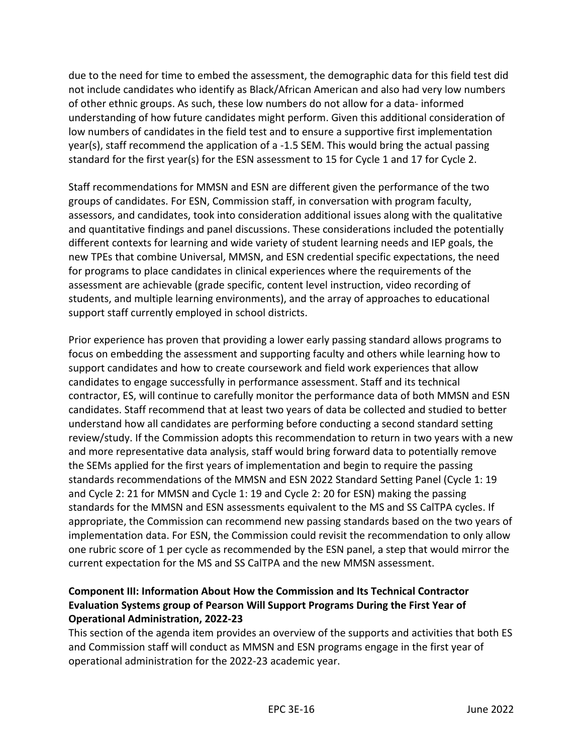due to the need for time to embed the assessment, the demographic data for this field test did not include candidates who identify as Black/African American and also had very low numbers of other ethnic groups. As such, these low numbers do not allow for a data- informed understanding of how future candidates might perform. Given this additional consideration of low numbers of candidates in the field test and to ensure a supportive first implementation year(s), staff recommend the application of a -1.5 SEM. This would bring the actual passing standard for the first year(s) for the ESN assessment to 15 for Cycle 1 and 17 for Cycle 2.

Staff recommendations for MMSN and ESN are different given the performance of the two groups of candidates. For ESN, Commission staff, in conversation with program faculty, assessors, and candidates, took into consideration additional issues along with the qualitative and quantitative findings and panel discussions. These considerations included the potentially different contexts for learning and wide variety of student learning needs and IEP goals, the new TPEs that combine Universal, MMSN, and ESN credential specific expectations, the need for programs to place candidates in clinical experiences where the requirements of the assessment are achievable (grade specific, content level instruction, video recording of students, and multiple learning environments), and the array of approaches to educational support staff currently employed in school districts.

Prior experience has proven that providing a lower early passing standard allows programs to focus on embedding the assessment and supporting faculty and others while learning how to support candidates and how to create coursework and field work experiences that allow candidates to engage successfully in performance assessment. Staff and its technical contractor, ES, will continue to carefully monitor the performance data of both MMSN and ESN candidates. Staff recommend that at least two years of data be collected and studied to better understand how all candidates are performing before conducting a second standard setting review/study. If the Commission adopts this recommendation to return in two years with a new and more representative data analysis, staff would bring forward data to potentially remove the SEMs applied for the first years of implementation and begin to require the passing standards recommendations of the MMSN and ESN 2022 Standard Setting Panel (Cycle 1: 19 and Cycle 2: 21 for MMSN and Cycle 1: 19 and Cycle 2: 20 for ESN) making the passing standards for the MMSN and ESN assessments equivalent to the MS and SS CalTPA cycles. If appropriate, the Commission can recommend new passing standards based on the two years of implementation data. For ESN, the Commission could revisit the recommendation to only allow one rubric score of 1 per cycle as recommended by the ESN panel, a step that would mirror the current expectation for the MS and SS CalTPA and the new MMSN assessment.

# **Component III: Information About How the Commission and Its Technical Contractor Evaluation Systems group of Pearson Will Support Programs During the First Year of Operational Administration, 2022-23**

This section of the agenda item provides an overview of the supports and activities that both ES and Commission staff will conduct as MMSN and ESN programs engage in the first year of operational administration for the 2022-23 academic year.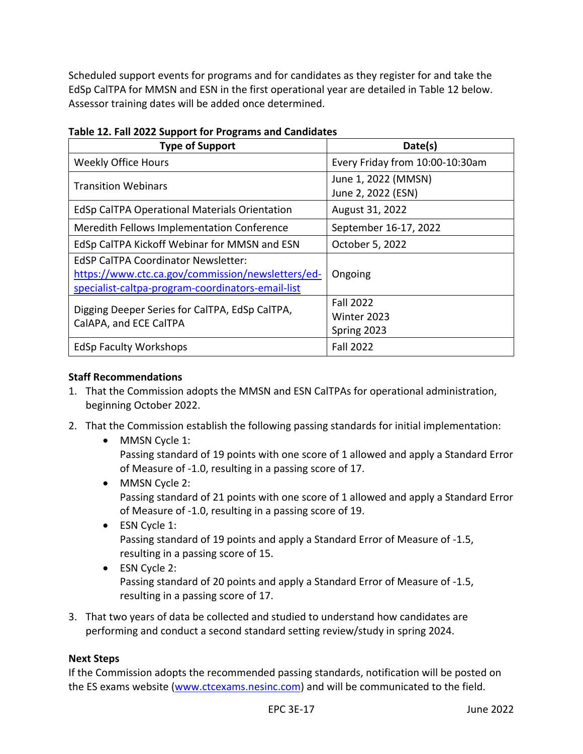Scheduled support events for programs and for candidates as they register for and take the EdSp CalTPA for MMSN and ESN in the first operational year are detailed in Table 12 below. Assessor training dates will be added once determined.

| <b>Type of Support</b>                                                                                                                               | Date(s)                                        |
|------------------------------------------------------------------------------------------------------------------------------------------------------|------------------------------------------------|
| <b>Weekly Office Hours</b>                                                                                                                           | Every Friday from 10:00-10:30am                |
| <b>Transition Webinars</b>                                                                                                                           | June 1, 2022 (MMSN)<br>June 2, 2022 (ESN)      |
| <b>EdSp CalTPA Operational Materials Orientation</b>                                                                                                 | August 31, 2022                                |
| Meredith Fellows Implementation Conference                                                                                                           | September 16-17, 2022                          |
| EdSp CalTPA Kickoff Webinar for MMSN and ESN                                                                                                         | October 5, 2022                                |
| <b>EdSP CalTPA Coordinator Newsletter:</b><br>https://www.ctc.ca.gov/commission/newsletters/ed-<br>specialist-caltpa-program-coordinators-email-list | Ongoing                                        |
| Digging Deeper Series for CalTPA, EdSp CalTPA,<br>CalAPA, and ECE CalTPA                                                                             | <b>Fall 2022</b><br>Winter 2023<br>Spring 2023 |
| <b>EdSp Faculty Workshops</b>                                                                                                                        | <b>Fall 2022</b>                               |

**Table 12. Fall 2022 Support for Programs and Candidates**

# **Staff Recommendations**

- 1. That the Commission adopts the MMSN and ESN CalTPAs for operational administration, beginning October 2022.
- 2. That the Commission establish the following passing standards for initial implementation:
	- MMSN Cycle 1: Passing standard of 19 points with one score of 1 allowed and apply a Standard Error of Measure of -1.0, resulting in a passing score of 17.
	- MMSN Cycle 2: Passing standard of 21 points with one score of 1 allowed and apply a Standard Error of Measure of -1.0, resulting in a passing score of 19.
	- ESN Cycle 1: Passing standard of 19 points and apply a Standard Error of Measure of -1.5, resulting in a passing score of 15.
	- ESN Cycle 2: Passing standard of 20 points and apply a Standard Error of Measure of -1.5, resulting in a passing score of 17.
- 3. That two years of data be collected and studied to understand how candidates are performing and conduct a second standard setting review/study in spring 2024.

# **Next Steps**

If the Commission adopts the recommended passing standards, notification will be posted on the ES exams website [\(www.ctcexams.nesinc.com\)](http://www.ctcexams.nesinc.com/) and will be communicated to the field.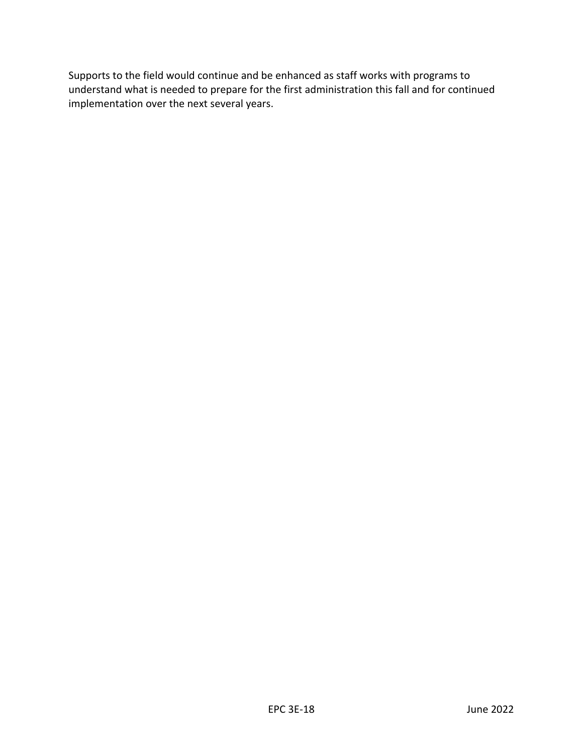Supports to the field would continue and be enhanced as staff works with programs to understand what is needed to prepare for the first administration this fall and for continued implementation over the next several years.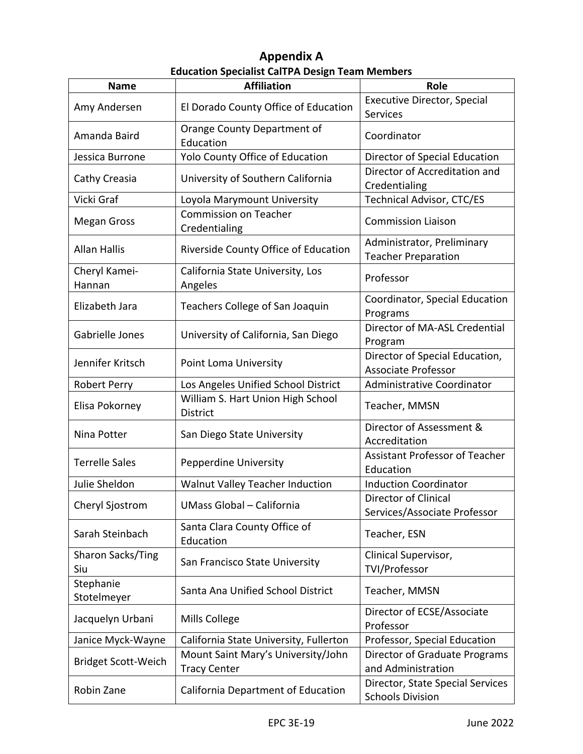# **Appendix A Education Specialist CalTPA Design Team Members**

<span id="page-19-0"></span>

| <b>Name</b>                | <b>Affiliation</b>                                        | Role                                                         |
|----------------------------|-----------------------------------------------------------|--------------------------------------------------------------|
| Amy Andersen               | El Dorado County Office of Education                      | <b>Executive Director, Special</b><br>Services               |
| Amanda Baird               | Orange County Department of<br>Education                  | Coordinator                                                  |
| Jessica Burrone            | Yolo County Office of Education                           | Director of Special Education                                |
| Cathy Creasia              | University of Southern California                         | Director of Accreditation and<br>Credentialing               |
| Vicki Graf                 | Loyola Marymount University                               | <b>Technical Advisor, CTC/ES</b>                             |
| <b>Megan Gross</b>         | <b>Commission on Teacher</b><br>Credentialing             | <b>Commission Liaison</b>                                    |
| <b>Allan Hallis</b>        | Riverside County Office of Education                      | Administrator, Preliminary<br><b>Teacher Preparation</b>     |
| Cheryl Kamei-<br>Hannan    | California State University, Los<br>Angeles               | Professor                                                    |
| Elizabeth Jara             | Teachers College of San Joaquin                           | Coordinator, Special Education<br>Programs                   |
| Gabrielle Jones            | University of California, San Diego                       | Director of MA-ASL Credential<br>Program                     |
| Jennifer Kritsch           | Point Loma University                                     | Director of Special Education,<br><b>Associate Professor</b> |
| Robert Perry               | Los Angeles Unified School District                       | <b>Administrative Coordinator</b>                            |
| Elisa Pokorney             | William S. Hart Union High School<br>District             | Teacher, MMSN                                                |
| Nina Potter                | San Diego State University                                | Director of Assessment &<br>Accreditation                    |
| <b>Terrelle Sales</b>      | Pepperdine University                                     | <b>Assistant Professor of Teacher</b><br>Education           |
| Julie Sheldon              | Walnut Valley Teacher Induction                           | <b>Induction Coordinator</b>                                 |
| Cheryl Sjostrom            | UMass Global - California                                 | Director of Clinical<br>Services/Associate Professor         |
| Sarah Steinbach            | Santa Clara County Office of<br>Education                 | Teacher, ESN                                                 |
| Sharon Sacks/Ting<br>Siu   | San Francisco State University                            | Clinical Supervisor,<br>TVI/Professor                        |
| Stephanie<br>Stotelmeyer   | Santa Ana Unified School District                         | Teacher, MMSN                                                |
| Jacquelyn Urbani           | Mills College                                             | Director of ECSE/Associate<br>Professor                      |
| Janice Myck-Wayne          | California State University, Fullerton                    | Professor, Special Education                                 |
| <b>Bridget Scott-Weich</b> | Mount Saint Mary's University/John<br><b>Tracy Center</b> | Director of Graduate Programs<br>and Administration          |
| Robin Zane                 | California Department of Education                        | Director, State Special Services<br><b>Schools Division</b>  |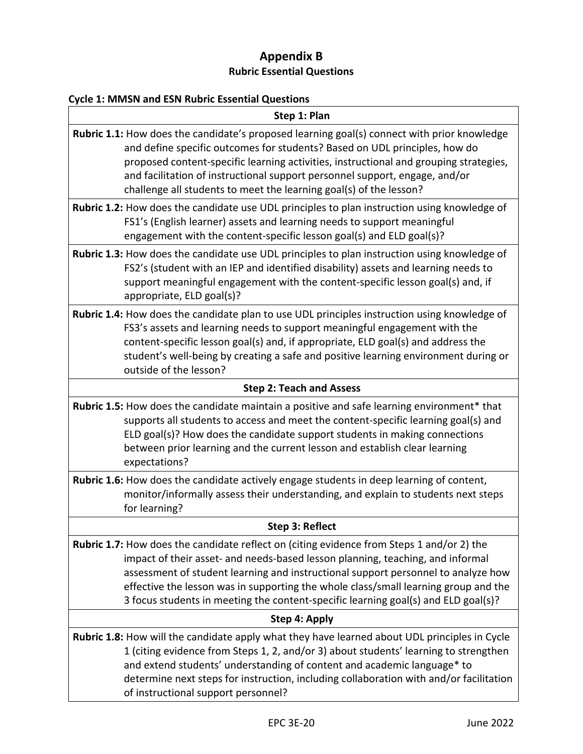# **Appendix B Rubric Essential Questions**

# <span id="page-20-0"></span>**Cycle 1: MMSN and ESN Rubric Essential Questions**

| Step 1: Plan                                                                                                                                                                                                                                                                                                                                                                                                                                         |  |  |  |  |  |  |
|------------------------------------------------------------------------------------------------------------------------------------------------------------------------------------------------------------------------------------------------------------------------------------------------------------------------------------------------------------------------------------------------------------------------------------------------------|--|--|--|--|--|--|
| <b>Rubric 1.1:</b> How does the candidate's proposed learning goal(s) connect with prior knowledge<br>and define specific outcomes for students? Based on UDL principles, how do<br>proposed content-specific learning activities, instructional and grouping strategies,<br>and facilitation of instructional support personnel support, engage, and/or<br>challenge all students to meet the learning goal(s) of the lesson?                       |  |  |  |  |  |  |
| <b>Rubric 1.2:</b> How does the candidate use UDL principles to plan instruction using knowledge of<br>FS1's (English learner) assets and learning needs to support meaningful<br>engagement with the content-specific lesson goal(s) and ELD goal(s)?                                                                                                                                                                                               |  |  |  |  |  |  |
| <b>Rubric 1.3:</b> How does the candidate use UDL principles to plan instruction using knowledge of<br>FS2's (student with an IEP and identified disability) assets and learning needs to<br>support meaningful engagement with the content-specific lesson goal(s) and, if<br>appropriate, ELD goal(s)?                                                                                                                                             |  |  |  |  |  |  |
| <b>Rubric 1.4:</b> How does the candidate plan to use UDL principles instruction using knowledge of<br>FS3's assets and learning needs to support meaningful engagement with the<br>content-specific lesson goal(s) and, if appropriate, ELD goal(s) and address the<br>student's well-being by creating a safe and positive learning environment during or<br>outside of the lesson?                                                                |  |  |  |  |  |  |
| <b>Step 2: Teach and Assess</b>                                                                                                                                                                                                                                                                                                                                                                                                                      |  |  |  |  |  |  |
| Rubric 1.5: How does the candidate maintain a positive and safe learning environment* that<br>supports all students to access and meet the content-specific learning goal(s) and<br>ELD goal(s)? How does the candidate support students in making connections<br>between prior learning and the current lesson and establish clear learning<br>expectations?                                                                                        |  |  |  |  |  |  |
| Rubric 1.6: How does the candidate actively engage students in deep learning of content,<br>monitor/informally assess their understanding, and explain to students next steps<br>for learning?                                                                                                                                                                                                                                                       |  |  |  |  |  |  |
| Step 3: Reflect                                                                                                                                                                                                                                                                                                                                                                                                                                      |  |  |  |  |  |  |
| <b>Rubric 1.7:</b> How does the candidate reflect on (citing evidence from Steps 1 and/or 2) the<br>impact of their asset- and needs-based lesson planning, teaching, and informal<br>assessment of student learning and instructional support personnel to analyze how<br>effective the lesson was in supporting the whole class/small learning group and the<br>3 focus students in meeting the content-specific learning goal(s) and ELD goal(s)? |  |  |  |  |  |  |
| Step 4: Apply                                                                                                                                                                                                                                                                                                                                                                                                                                        |  |  |  |  |  |  |
| Rubric 1.8: How will the candidate apply what they have learned about UDL principles in Cycle<br>1 (citing evidence from Steps 1, 2, and/or 3) about students' learning to strengthen<br>and extend students' understanding of content and academic language* to<br>determine next steps for instruction, including collaboration with and/or facilitation<br>of instructional support personnel?                                                    |  |  |  |  |  |  |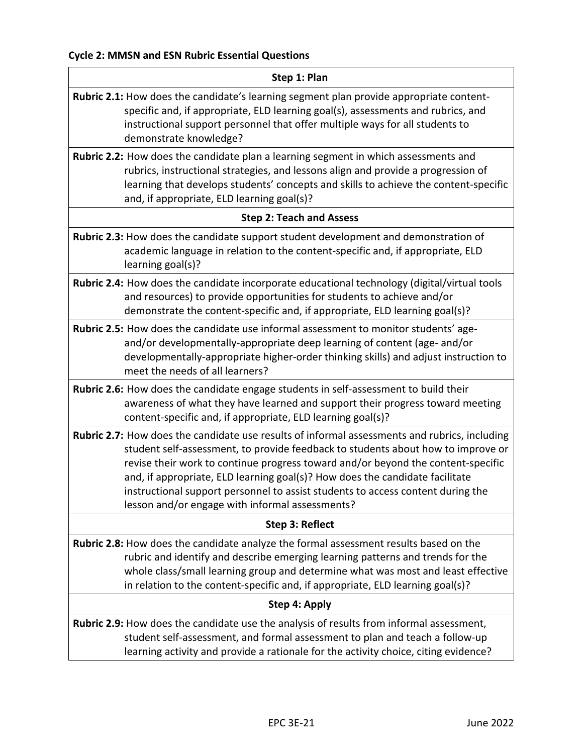| Step 1: Plan                                                                                                                                                                                                                                                                                                                                                                                                                                                                                |
|---------------------------------------------------------------------------------------------------------------------------------------------------------------------------------------------------------------------------------------------------------------------------------------------------------------------------------------------------------------------------------------------------------------------------------------------------------------------------------------------|
| Rubric 2.1: How does the candidate's learning segment plan provide appropriate content-<br>specific and, if appropriate, ELD learning goal(s), assessments and rubrics, and<br>instructional support personnel that offer multiple ways for all students to<br>demonstrate knowledge?                                                                                                                                                                                                       |
| Rubric 2.2: How does the candidate plan a learning segment in which assessments and<br>rubrics, instructional strategies, and lessons align and provide a progression of<br>learning that develops students' concepts and skills to achieve the content-specific<br>and, if appropriate, ELD learning goal(s)?                                                                                                                                                                              |
| <b>Step 2: Teach and Assess</b>                                                                                                                                                                                                                                                                                                                                                                                                                                                             |
| Rubric 2.3: How does the candidate support student development and demonstration of<br>academic language in relation to the content-specific and, if appropriate, ELD<br>learning goal(s)?                                                                                                                                                                                                                                                                                                  |
| Rubric 2.4: How does the candidate incorporate educational technology (digital/virtual tools<br>and resources) to provide opportunities for students to achieve and/or<br>demonstrate the content-specific and, if appropriate, ELD learning goal(s)?                                                                                                                                                                                                                                       |
| Rubric 2.5: How does the candidate use informal assessment to monitor students' age-<br>and/or developmentally-appropriate deep learning of content (age- and/or<br>developmentally-appropriate higher-order thinking skills) and adjust instruction to<br>meet the needs of all learners?                                                                                                                                                                                                  |
| Rubric 2.6: How does the candidate engage students in self-assessment to build their<br>awareness of what they have learned and support their progress toward meeting<br>content-specific and, if appropriate, ELD learning goal(s)?                                                                                                                                                                                                                                                        |
| Rubric 2.7: How does the candidate use results of informal assessments and rubrics, including<br>student self-assessment, to provide feedback to students about how to improve or<br>revise their work to continue progress toward and/or beyond the content-specific<br>and, if appropriate, ELD learning goal(s)? How does the candidate facilitate<br>instructional support personnel to assist students to access content during the<br>lesson and/or engage with informal assessments? |
| Step 3: Reflect                                                                                                                                                                                                                                                                                                                                                                                                                                                                             |
| Rubric 2.8: How does the candidate analyze the formal assessment results based on the<br>rubric and identify and describe emerging learning patterns and trends for the<br>whole class/small learning group and determine what was most and least effective<br>in relation to the content-specific and, if appropriate, ELD learning goal(s)?                                                                                                                                               |
| Step 4: Apply                                                                                                                                                                                                                                                                                                                                                                                                                                                                               |
| Rubric 2.9: How does the candidate use the analysis of results from informal assessment,<br>student self-assessment, and formal assessment to plan and teach a follow-up<br>learning activity and provide a rationale for the activity choice, citing evidence?                                                                                                                                                                                                                             |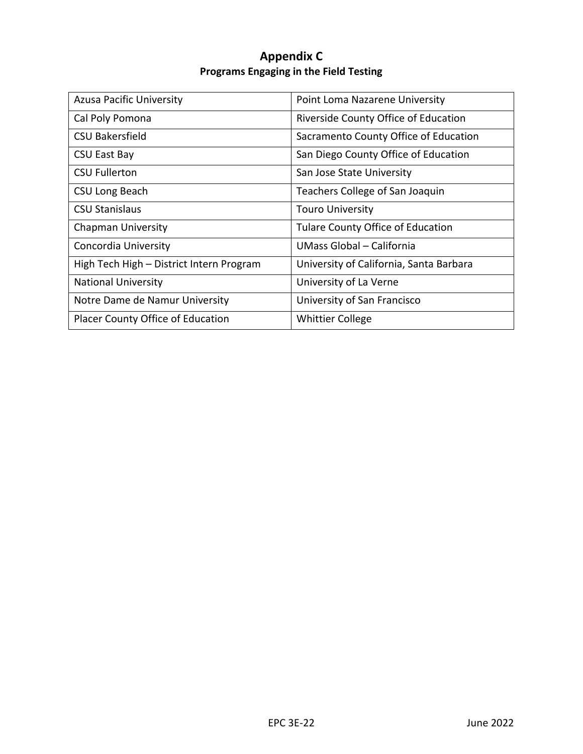# **Appendix C Programs Engaging in the Field Testing**

<span id="page-22-0"></span>

| <b>Azusa Pacific University</b>          | Point Loma Nazarene University           |
|------------------------------------------|------------------------------------------|
| Cal Poly Pomona                          | Riverside County Office of Education     |
| <b>CSU Bakersfield</b>                   | Sacramento County Office of Education    |
| <b>CSU East Bay</b>                      | San Diego County Office of Education     |
| <b>CSU Fullerton</b>                     | San Jose State University                |
| CSU Long Beach                           | Teachers College of San Joaquin          |
| <b>CSU Stanislaus</b>                    | <b>Touro University</b>                  |
| <b>Chapman University</b>                | <b>Tulare County Office of Education</b> |
| Concordia University                     | UMass Global – California                |
| High Tech High - District Intern Program | University of California, Santa Barbara  |
| <b>National University</b>               | University of La Verne                   |
| Notre Dame de Namur University           | University of San Francisco              |
| Placer County Office of Education        | <b>Whittier College</b>                  |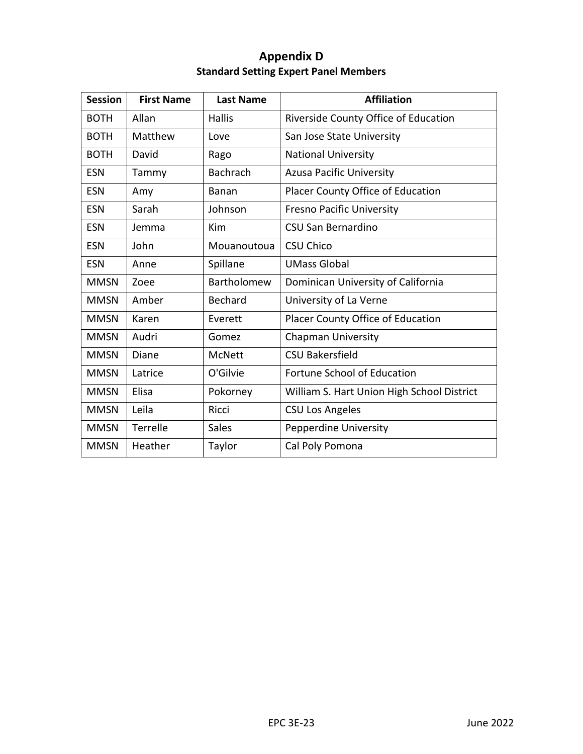# **Appendix D Standard Setting Expert Panel Members**

<span id="page-23-0"></span>

| <b>Session</b> | <b>First Name</b> | <b>Last Name</b> | <b>Affiliation</b>                         |
|----------------|-------------------|------------------|--------------------------------------------|
| <b>BOTH</b>    | Allan             | <b>Hallis</b>    | Riverside County Office of Education       |
| <b>BOTH</b>    | Matthew           | Love             | San Jose State University                  |
| <b>BOTH</b>    | David             | Rago             | <b>National University</b>                 |
| <b>ESN</b>     | Tammy             | <b>Bachrach</b>  | <b>Azusa Pacific University</b>            |
| <b>ESN</b>     | Amy               | <b>Banan</b>     | Placer County Office of Education          |
| <b>ESN</b>     | Sarah             | Johnson          | <b>Fresno Pacific University</b>           |
| <b>ESN</b>     | Jemma             | Kim              | <b>CSU San Bernardino</b>                  |
| <b>ESN</b>     | John              | Mouanoutoua      | <b>CSU Chico</b>                           |
| <b>ESN</b>     | Anne              | Spillane         | <b>UMass Global</b>                        |
| <b>MMSN</b>    | Zoee              | Bartholomew      | Dominican University of California         |
| <b>MMSN</b>    | Amber             | <b>Bechard</b>   | University of La Verne                     |
| <b>MMSN</b>    | Karen             | Everett          | Placer County Office of Education          |
| <b>MMSN</b>    | Audri             | Gomez            | <b>Chapman University</b>                  |
| <b>MMSN</b>    | Diane             | <b>McNett</b>    | <b>CSU Bakersfield</b>                     |
| <b>MMSN</b>    | Latrice           | O'Gilvie         | Fortune School of Education                |
| <b>MMSN</b>    | Elisa             | Pokorney         | William S. Hart Union High School District |
| <b>MMSN</b>    | Leila             | Ricci            | <b>CSU Los Angeles</b>                     |
| <b>MMSN</b>    | Terrelle          | <b>Sales</b>     | Pepperdine University                      |
| <b>MMSN</b>    | Heather           | Taylor           | Cal Poly Pomona                            |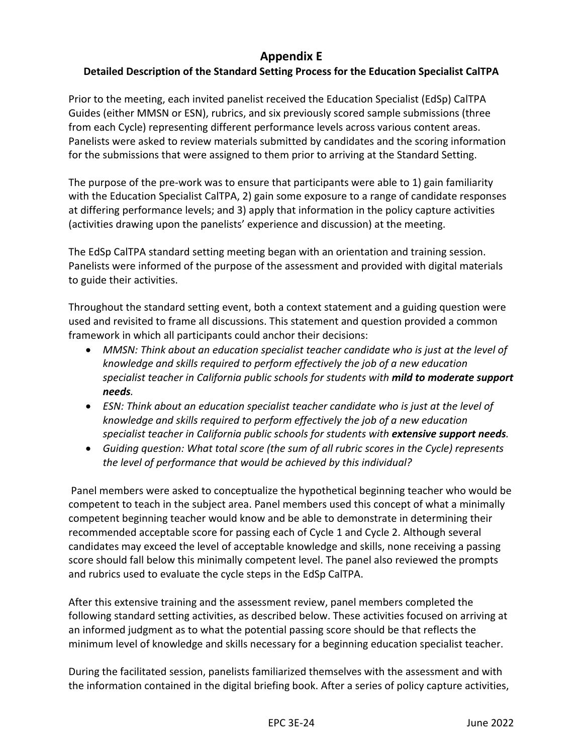# **Appendix E**

# <span id="page-24-0"></span>**Detailed Description of the Standard Setting Process for the Education Specialist CalTPA**

Prior to the meeting, each invited panelist received the Education Specialist (EdSp) CalTPA Guides (either MMSN or ESN), rubrics, and six previously scored sample submissions (three from each Cycle) representing different performance levels across various content areas. Panelists were asked to review materials submitted by candidates and the scoring information for the submissions that were assigned to them prior to arriving at the Standard Setting.

The purpose of the pre-work was to ensure that participants were able to 1) gain familiarity with the Education Specialist CalTPA, 2) gain some exposure to a range of candidate responses at differing performance levels; and 3) apply that information in the policy capture activities (activities drawing upon the panelists' experience and discussion) at the meeting.

The EdSp CalTPA standard setting meeting began with an orientation and training session. Panelists were informed of the purpose of the assessment and provided with digital materials to guide their activities.

Throughout the standard setting event, both a context statement and a guiding question were used and revisited to frame all discussions. This statement and question provided a common framework in which all participants could anchor their decisions:

- *MMSN: Think about an education specialist teacher candidate who is just at the level of knowledge and skills required to perform effectively the job of a new education specialist teacher in California public schools for students with mild to moderate support needs.*
- *ESN: Think about an education specialist teacher candidate who is just at the level of knowledge and skills required to perform effectively the job of a new education specialist teacher in California public schools for students with extensive support needs.*
- *Guiding question: What total score (the sum of all rubric scores in the Cycle) represents the level of performance that would be achieved by this individual?*

Panel members were asked to conceptualize the hypothetical beginning teacher who would be competent to teach in the subject area. Panel members used this concept of what a minimally competent beginning teacher would know and be able to demonstrate in determining their recommended acceptable score for passing each of Cycle 1 and Cycle 2. Although several candidates may exceed the level of acceptable knowledge and skills, none receiving a passing score should fall below this minimally competent level. The panel also reviewed the prompts and rubrics used to evaluate the cycle steps in the EdSp CalTPA.

After this extensive training and the assessment review, panel members completed the following standard setting activities, as described below. These activities focused on arriving at an informed judgment as to what the potential passing score should be that reflects the minimum level of knowledge and skills necessary for a beginning education specialist teacher.

During the facilitated session, panelists familiarized themselves with the assessment and with the information contained in the digital briefing book. After a series of policy capture activities,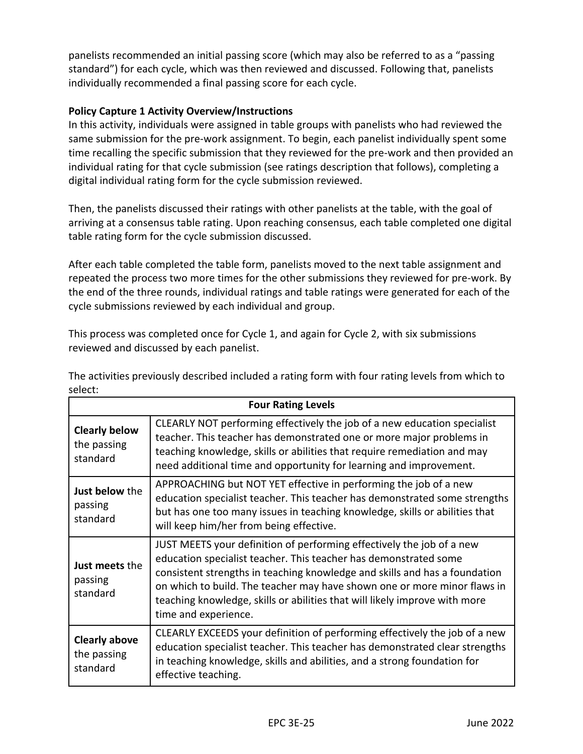panelists recommended an initial passing score (which may also be referred to as a "passing standard") for each cycle, which was then reviewed and discussed. Following that, panelists individually recommended a final passing score for each cycle.

# **Policy Capture 1 Activity Overview/Instructions**

In this activity, individuals were assigned in table groups with panelists who had reviewed the same submission for the pre-work assignment. To begin, each panelist individually spent some time recalling the specific submission that they reviewed for the pre-work and then provided an individual rating for that cycle submission (see ratings description that follows), completing a digital individual rating form for the cycle submission reviewed.

Then, the panelists discussed their ratings with other panelists at the table, with the goal of arriving at a consensus table rating. Upon reaching consensus, each table completed one digital table rating form for the cycle submission discussed.

After each table completed the table form, panelists moved to the next table assignment and repeated the process two more times for the other submissions they reviewed for pre-work. By the end of the three rounds, individual ratings and table ratings were generated for each of the cycle submissions reviewed by each individual and group.

This process was completed once for Cycle 1, and again for Cycle 2, with six submissions reviewed and discussed by each panelist.

| <b>Four Rating Levels</b>                       |                                                                                                                                                                                                                                                                                                                                                                                                           |  |  |  |  |  |  |
|-------------------------------------------------|-----------------------------------------------------------------------------------------------------------------------------------------------------------------------------------------------------------------------------------------------------------------------------------------------------------------------------------------------------------------------------------------------------------|--|--|--|--|--|--|
| <b>Clearly below</b><br>the passing<br>standard | CLEARLY NOT performing effectively the job of a new education specialist<br>teacher. This teacher has demonstrated one or more major problems in<br>teaching knowledge, skills or abilities that require remediation and may<br>need additional time and opportunity for learning and improvement.                                                                                                        |  |  |  |  |  |  |
| Just below the<br>passing<br>standard           | APPROACHING but NOT YET effective in performing the job of a new<br>education specialist teacher. This teacher has demonstrated some strengths<br>but has one too many issues in teaching knowledge, skills or abilities that<br>will keep him/her from being effective.                                                                                                                                  |  |  |  |  |  |  |
| Just meets the<br>passing<br>standard           | JUST MEETS your definition of performing effectively the job of a new<br>education specialist teacher. This teacher has demonstrated some<br>consistent strengths in teaching knowledge and skills and has a foundation<br>on which to build. The teacher may have shown one or more minor flaws in<br>teaching knowledge, skills or abilities that will likely improve with more<br>time and experience. |  |  |  |  |  |  |
| <b>Clearly above</b><br>the passing<br>standard | CLEARLY EXCEEDS your definition of performing effectively the job of a new<br>education specialist teacher. This teacher has demonstrated clear strengths<br>in teaching knowledge, skills and abilities, and a strong foundation for<br>effective teaching.                                                                                                                                              |  |  |  |  |  |  |

The activities previously described included a rating form with four rating levels from which to select: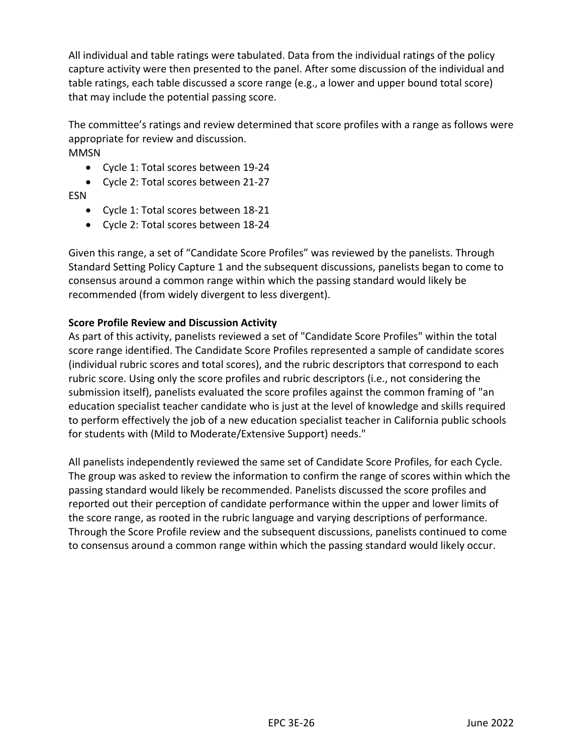All individual and table ratings were tabulated. Data from the individual ratings of the policy capture activity were then presented to the panel. After some discussion of the individual and table ratings, each table discussed a score range (e.g., a lower and upper bound total score) that may include the potential passing score.

The committee's ratings and review determined that score profiles with a range as follows were appropriate for review and discussion. MMSN

- Cycle 1: Total scores between 19-24
- Cycle 2: Total scores between 21-27
- ESN
	- Cycle 1: Total scores between 18-21
	- Cycle 2: Total scores between 18-24

Given this range, a set of "Candidate Score Profiles" was reviewed by the panelists. Through Standard Setting Policy Capture 1 and the subsequent discussions, panelists began to come to consensus around a common range within which the passing standard would likely be recommended (from widely divergent to less divergent).

# **Score Profile Review and Discussion Activity**

As part of this activity, panelists reviewed a set of "Candidate Score Profiles" within the total score range identified. The Candidate Score Profiles represented a sample of candidate scores (individual rubric scores and total scores), and the rubric descriptors that correspond to each rubric score. Using only the score profiles and rubric descriptors (i.e., not considering the submission itself), panelists evaluated the score profiles against the common framing of "an education specialist teacher candidate who is just at the level of knowledge and skills required to perform effectively the job of a new education specialist teacher in California public schools for students with (Mild to Moderate/Extensive Support) needs."

All panelists independently reviewed the same set of Candidate Score Profiles, for each Cycle. The group was asked to review the information to confirm the range of scores within which the passing standard would likely be recommended. Panelists discussed the score profiles and reported out their perception of candidate performance within the upper and lower limits of the score range, as rooted in the rubric language and varying descriptions of performance. Through the Score Profile review and the subsequent discussions, panelists continued to come to consensus around a common range within which the passing standard would likely occur.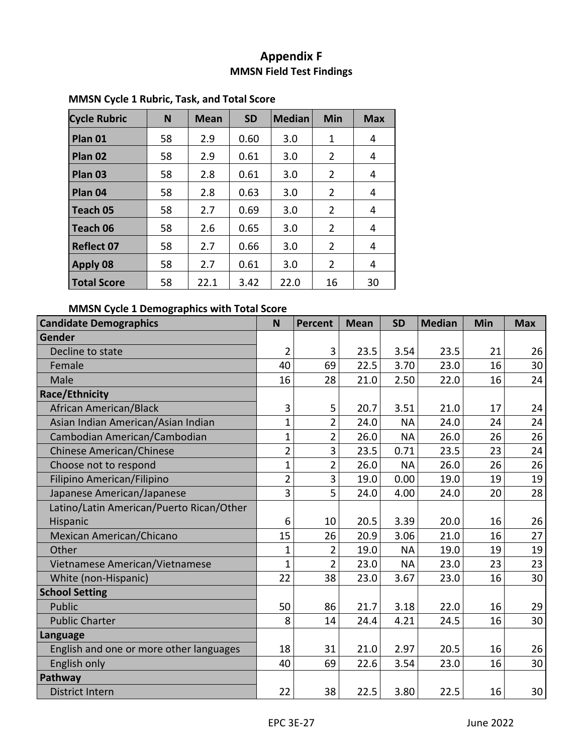# **Appendix F MMSN Field Test Findings**

| <b>Cycle Rubric</b> | N  | <b>Mean</b> | <b>SD</b> | <b>Median</b> | Min            | <b>Max</b> |
|---------------------|----|-------------|-----------|---------------|----------------|------------|
| Plan 01             | 58 | 2.9         | 0.60      | 3.0           | 1              | 4          |
| Plan 02             | 58 | 2.9         | 0.61      | 3.0           | 2              | 4          |
| Plan <sub>03</sub>  | 58 | 2.8         | 0.61      | 3.0           | 2              | 4          |
| Plan 04             | 58 | 2.8         | 0.63      | 3.0           | $\overline{2}$ | 4          |
| Teach 05            | 58 | 2.7         | 0.69      | 3.0           | $\overline{2}$ | 4          |
| Teach 06            | 58 | 2.6         | 0.65      | 3.0           | $\overline{2}$ | 4          |
| <b>Reflect 07</b>   | 58 | 2.7         | 0.66      | 3.0           | 2              | 4          |
| Apply 08            | 58 | 2.7         | 0.61      | 3.0           | $\overline{2}$ | 4          |
| <b>Total Score</b>  | 58 | 22.1        | 3.42      | 22.0          | 16             | 30         |

# <span id="page-27-0"></span>**MMSN Cycle 1 Rubric, Task, and Total Score**

# **MMSN Cycle 1 Demographics with Total Score**

| <b>Candidate Demographics</b>            | N              | <b>Percent</b> | <b>Mean</b> | <b>SD</b> | <b>Median</b> | Min | <b>Max</b> |
|------------------------------------------|----------------|----------------|-------------|-----------|---------------|-----|------------|
| Gender                                   |                |                |             |           |               |     |            |
| Decline to state                         | $\overline{2}$ | 3              | 23.5        | 3.54      | 23.5          | 21  | 26         |
| Female                                   | 40             | 69             | 22.5        | 3.70      | 23.0          | 16  | 30         |
| Male                                     | 16             | 28             | 21.0        | 2.50      | 22.0          | 16  | 24         |
| Race/Ethnicity                           |                |                |             |           |               |     |            |
| African American/Black                   | 3              | 5              | 20.7        | 3.51      | 21.0          | 17  | 24         |
| Asian Indian American/Asian Indian       | $\overline{1}$ | $\overline{2}$ | 24.0        | <b>NA</b> | 24.0          | 24  | 24         |
| Cambodian American/Cambodian             | $\overline{1}$ | $\overline{2}$ | 26.0        | <b>NA</b> | 26.0          | 26  | 26         |
| <b>Chinese American/Chinese</b>          | $\overline{2}$ | 3              | 23.5        | 0.71      | 23.5          | 23  | 24         |
| Choose not to respond                    | $\overline{1}$ | $\overline{2}$ | 26.0        | <b>NA</b> | 26.0          | 26  | 26         |
| Filipino American/Filipino               | $\overline{2}$ | 3              | 19.0        | 0.00      | 19.0          | 19  | 19         |
| Japanese American/Japanese               | 3              | 5              | 24.0        | 4.00      | 24.0          | 20  | 28         |
| Latino/Latin American/Puerto Rican/Other |                |                |             |           |               |     |            |
| Hispanic                                 | 6              | 10             | 20.5        | 3.39      | 20.0          | 16  | 26         |
| Mexican American/Chicano                 | 15             | 26             | 20.9        | 3.06      | 21.0          | 16  | 27         |
| Other                                    | $\overline{1}$ | $\overline{2}$ | 19.0        | <b>NA</b> | 19.0          | 19  | 19         |
| Vietnamese American/Vietnamese           | $\mathbf{1}$   | $\overline{2}$ | 23.0        | <b>NA</b> | 23.0          | 23  | 23         |
| White (non-Hispanic)                     | 22             | 38             | 23.0        | 3.67      | 23.0          | 16  | 30         |
| <b>School Setting</b>                    |                |                |             |           |               |     |            |
| Public                                   | 50             | 86             | 21.7        | 3.18      | 22.0          | 16  | 29         |
| <b>Public Charter</b>                    | 8              | 14             | 24.4        | 4.21      | 24.5          | 16  | 30         |
| Language                                 |                |                |             |           |               |     |            |
| English and one or more other languages  | 18             | 31             | 21.0        | 2.97      | 20.5          | 16  | 26         |
| English only                             | 40             | 69             | 22.6        | 3.54      | 23.0          | 16  | 30         |
| Pathway                                  |                |                |             |           |               |     |            |
| <b>District Intern</b>                   | 22             | 38             | 22.5        | 3.80      | 22.5          | 16  | 30         |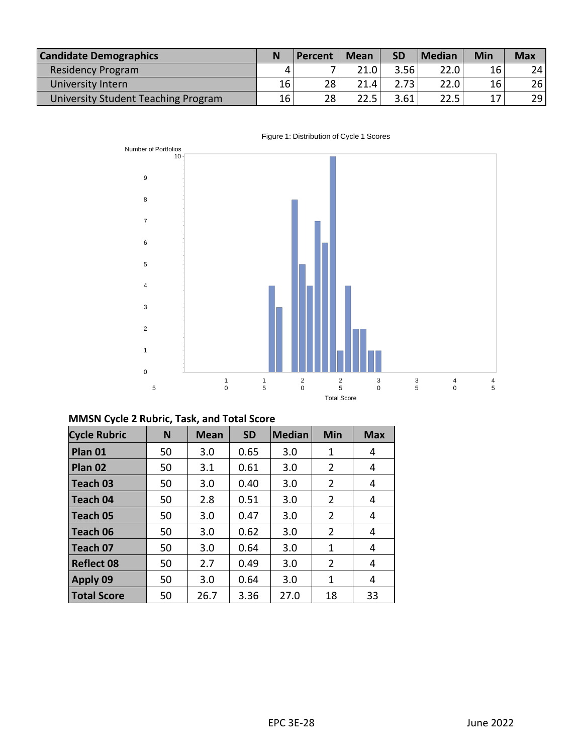| <b>Candidate Demographics</b>       | N  | Percent | <b>Mean</b> | <b>SD</b> | <b>Median</b> | <b>Min</b> | <b>Max</b> |
|-------------------------------------|----|---------|-------------|-----------|---------------|------------|------------|
| <b>Residency Program</b>            |    |         | 21.0        | 3.56      | 22.0          | 16         | 24         |
| University Intern                   | 16 | 28      | 21.4        | 2.73      | 22.0          | 16         | 26         |
| University Student Teaching Program | 16 | 28      | 22.5        | 3.61      | 22.5          | 17         | 29         |



#### Figure 1: Distribution of Cycle 1 Scores

# **MMSN Cycle 2 Rubric, Task, and Total Score**

| <b>Cycle Rubric</b> | N  | <b>Mean</b> | <b>SD</b> | <b>Median</b> | <b>Min</b>     | <b>Max</b> |
|---------------------|----|-------------|-----------|---------------|----------------|------------|
| Plan 01             | 50 | 3.0         | 0.65      | 3.0           | 1              | 4          |
| Plan 02             | 50 | 3.1         | 0.61      | 3.0           | $\overline{2}$ | 4          |
| Teach 03            | 50 | 3.0         | 0.40      | 3.0           | 2              | 4          |
| Teach 04            | 50 | 2.8         | 0.51      | 3.0           | $\overline{2}$ | 4          |
| l Teach 05          | 50 | 3.0         | 0.47      | 3.0           | 2              | 4          |
| Teach 06            | 50 | 3.0         | 0.62      | 3.0           | $\overline{2}$ | 4          |
| l Teach 07          | 50 | 3.0         | 0.64      | 3.0           | 1              | 4          |
| <b>Reflect 08</b>   | 50 | 2.7         | 0.49      | 3.0           | 2              | 4          |
| <b>Apply 09</b>     | 50 | 3.0         | 0.64      | 3.0           | 1              | 4          |
| <b>Total Score</b>  | 50 | 26.7        | 3.36      | 27.0          | 18             | 33         |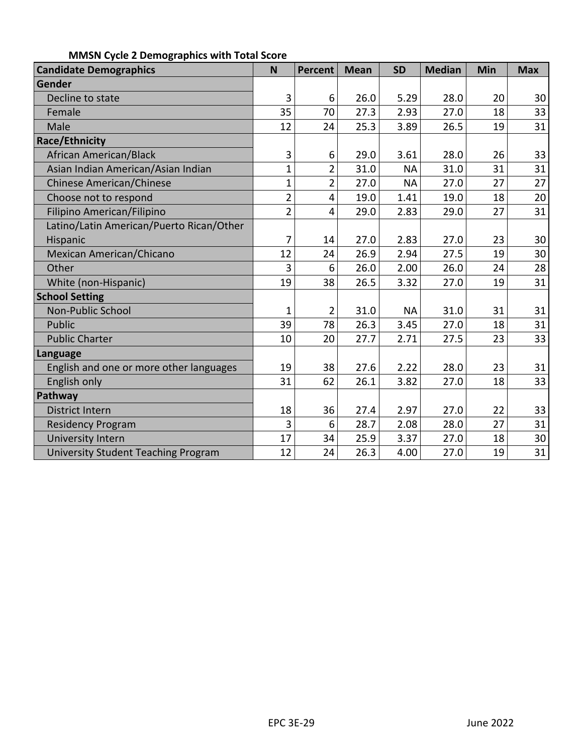| <b>Candidate Demographics</b>              | N              | Percent        | <b>Mean</b> | <b>SD</b> | <b>Median</b> | Min | <b>Max</b> |
|--------------------------------------------|----------------|----------------|-------------|-----------|---------------|-----|------------|
| Gender                                     |                |                |             |           |               |     |            |
| Decline to state                           | 3              | 6              | 26.0        | 5.29      | 28.0          | 20  | 30         |
| Female                                     | 35             | 70             | 27.3        | 2.93      | 27.0          | 18  | 33         |
| Male                                       | 12             | 24             | 25.3        | 3.89      | 26.5          | 19  | 31         |
| <b>Race/Ethnicity</b>                      |                |                |             |           |               |     |            |
| African American/Black                     | 3              | 6              | 29.0        | 3.61      | 28.0          | 26  | 33         |
| Asian Indian American/Asian Indian         | $\mathbf 1$    | $\overline{2}$ | 31.0        | <b>NA</b> | 31.0          | 31  | 31         |
| <b>Chinese American/Chinese</b>            | $\mathbf 1$    | $\overline{2}$ | 27.0        | <b>NA</b> | 27.0          | 27  | 27         |
| Choose not to respond                      | $\overline{2}$ | 4              | 19.0        | 1.41      | 19.0          | 18  | 20         |
| Filipino American/Filipino                 | $\overline{2}$ | 4              | 29.0        | 2.83      | 29.0          | 27  | 31         |
| Latino/Latin American/Puerto Rican/Other   |                |                |             |           |               |     |            |
| Hispanic                                   | 7              | 14             | 27.0        | 2.83      | 27.0          | 23  | 30         |
| Mexican American/Chicano                   | 12             | 24             | 26.9        | 2.94      | 27.5          | 19  | 30         |
| Other                                      | 3              | 6              | 26.0        | 2.00      | 26.0          | 24  | 28         |
| White (non-Hispanic)                       | 19             | 38             | 26.5        | 3.32      | 27.0          | 19  | 31         |
| <b>School Setting</b>                      |                |                |             |           |               |     |            |
| Non-Public School                          | $\mathbf 1$    | $\overline{2}$ | 31.0        | <b>NA</b> | 31.0          | 31  | 31         |
| Public                                     | 39             | 78             | 26.3        | 3.45      | 27.0          | 18  | 31         |
| <b>Public Charter</b>                      | 10             | 20             | 27.7        | 2.71      | 27.5          | 23  | 33         |
| Language                                   |                |                |             |           |               |     |            |
| English and one or more other languages    | 19             | 38             | 27.6        | 2.22      | 28.0          | 23  | 31         |
| English only                               | 31             | 62             | 26.1        | 3.82      | 27.0          | 18  | 33         |
| Pathway                                    |                |                |             |           |               |     |            |
| <b>District Intern</b>                     | 18             | 36             | 27.4        | 2.97      | 27.0          | 22  | 33         |
| <b>Residency Program</b>                   | 3              | 6              | 28.7        | 2.08      | 28.0          | 27  | 31         |
| University Intern                          | 17             | 34             | 25.9        | 3.37      | 27.0          | 18  | 30         |
| <b>University Student Teaching Program</b> | 12             | 24             | 26.3        | 4.00      | 27.0          | 19  | 31         |

# **MMSN Cycle 2 Demographics with Total Score**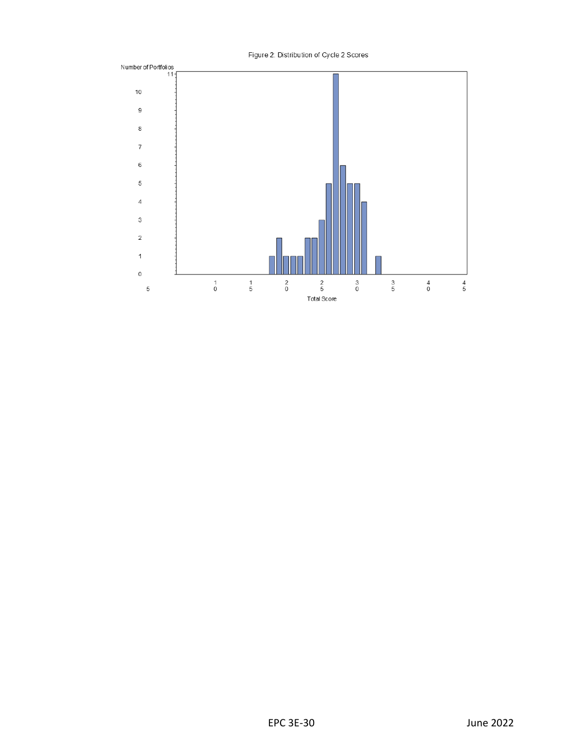

Figure 2: Distribution of Cycle 2 Scores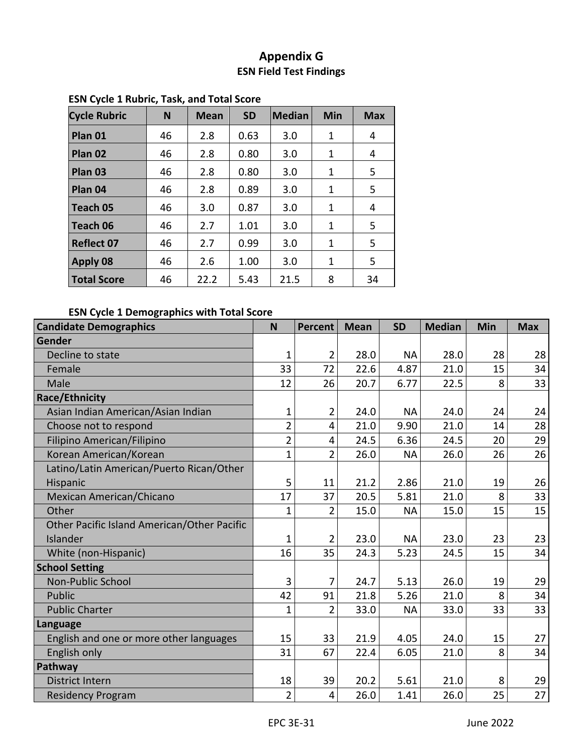# **Appendix G ESN Field Test Findings**

| <b>Cycle Rubric</b> | N  | <b>Mean</b> | <b>SD</b> | <b>Median</b> | Min | <b>Max</b> |
|---------------------|----|-------------|-----------|---------------|-----|------------|
| Plan 01             | 46 | 2.8         | 0.63      | 3.0           | 1   | 4          |
| Plan 02             | 46 | 2.8         | 0.80      | 3.0           | 1   | 4          |
| Plan 03             | 46 | 2.8         | 0.80      | 3.0           | 1   | 5          |
| Plan 04             | 46 | 2.8         | 0.89      | 3.0           | 1   | 5          |
| Teach 05            | 46 | 3.0         | 0.87      | 3.0           | 1   | 4          |
| Teach 06            | 46 | 2.7         | 1.01      | 3.0           | 1   | 5          |
| <b>Reflect 07</b>   | 46 | 2.7         | 0.99      | 3.0           | 1   | 5          |
| <b>Apply 08</b>     | 46 | 2.6         | 1.00      | 3.0           | 1   | 5          |
| <b>Total Score</b>  | 46 | 22.2        | 5.43      | 21.5          | 8   | 34         |

# <span id="page-31-0"></span>**ESN Cycle 1 Rubric, Task, and Total Score**

# **ESN Cycle 1 Demographics with Total Score**

| <b>Candidate Demographics</b>               | N              | Percent        | <b>Mean</b> | <b>SD</b> | <b>Median</b> | Min | <b>Max</b> |
|---------------------------------------------|----------------|----------------|-------------|-----------|---------------|-----|------------|
| Gender                                      |                |                |             |           |               |     |            |
| Decline to state                            | $\mathbf{1}$   | $\overline{2}$ | 28.0        | <b>NA</b> | 28.0          | 28  | 28         |
| Female                                      | 33             | 72             | 22.6        | 4.87      | 21.0          | 15  | 34         |
| Male                                        | 12             | 26             | 20.7        | 6.77      | 22.5          | 8   | 33         |
| <b>Race/Ethnicity</b>                       |                |                |             |           |               |     |            |
| Asian Indian American/Asian Indian          | $\mathbf 1$    | 2              | 24.0        | <b>NA</b> | 24.0          | 24  | 24         |
| Choose not to respond                       | $\overline{2}$ | 4              | 21.0        | 9.90      | 21.0          | 14  | 28         |
| Filipino American/Filipino                  | $\overline{2}$ | 4              | 24.5        | 6.36      | 24.5          | 20  | 29         |
| Korean American/Korean                      | $\mathbf{1}$   | $\overline{2}$ | 26.0        | <b>NA</b> | 26.0          | 26  | 26         |
| Latino/Latin American/Puerto Rican/Other    |                |                |             |           |               |     |            |
| Hispanic                                    | 5              | 11             | 21.2        | 2.86      | 21.0          | 19  | 26         |
| Mexican American/Chicano                    | 17             | 37             | 20.5        | 5.81      | 21.0          | 8   | 33         |
| Other                                       | 1              | $\overline{2}$ | 15.0        | <b>NA</b> | 15.0          | 15  | 15         |
| Other Pacific Island American/Other Pacific |                |                |             |           |               |     |            |
| Islander                                    | $\mathbf 1$    | $\overline{2}$ | 23.0        | <b>NA</b> | 23.0          | 23  | 23         |
| White (non-Hispanic)                        | 16             | 35             | 24.3        | 5.23      | 24.5          | 15  | 34         |
| <b>School Setting</b>                       |                |                |             |           |               |     |            |
| <b>Non-Public School</b>                    | 3              | 7              | 24.7        | 5.13      | 26.0          | 19  | 29         |
| Public                                      | 42             | 91             | 21.8        | 5.26      | 21.0          | 8   | 34         |
| <b>Public Charter</b>                       | $\mathbf{1}$   | $\overline{2}$ | 33.0        | <b>NA</b> | 33.0          | 33  | 33         |
| Language                                    |                |                |             |           |               |     |            |
| English and one or more other languages     | 15             | 33             | 21.9        | 4.05      | 24.0          | 15  | 27         |
| English only                                | 31             | 67             | 22.4        | 6.05      | 21.0          | 8   | 34         |
| Pathway                                     |                |                |             |           |               |     |            |
| <b>District Intern</b>                      | 18             | 39             | 20.2        | 5.61      | 21.0          | 8   | 29         |
| <b>Residency Program</b>                    | $\overline{2}$ | 4              | 26.0        | 1.41      | 26.0          | 25  | 27         |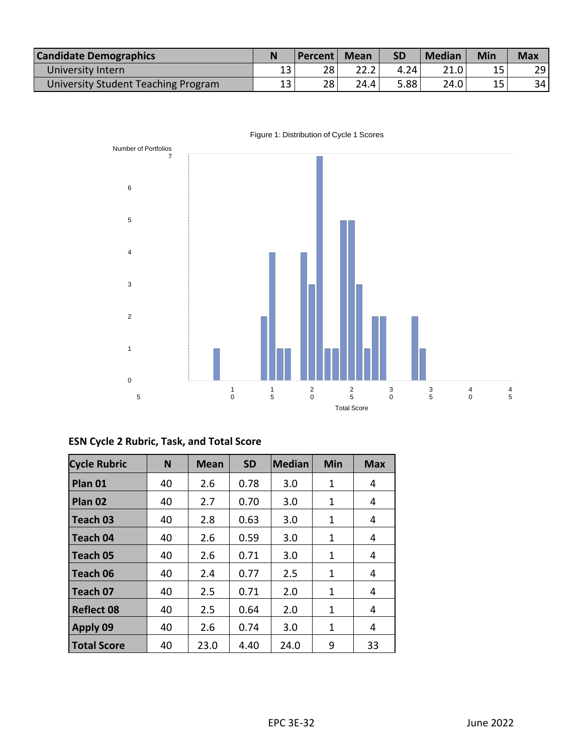| <b>Candidate Demographics</b>       |          | <b>Percent</b> | <b>Mean</b> | <b>SD</b> | <b>Median</b> | Min | <b>Max</b> |
|-------------------------------------|----------|----------------|-------------|-----------|---------------|-----|------------|
| University Intern                   | ⊥◡       | 28             |             | 4.24      |               | 15  | 29         |
| University Student Teaching Program | 1 つ<br>ᅩ | 28             | 24.4        | 5.88      | 24.0          | 15  | 34         |



Figure 1: Distribution of Cycle 1 Scores

| <b>Cycle Rubric</b> | N  | <b>Mean</b> | <b>SD</b> | Median | Min | <b>Max</b> |
|---------------------|----|-------------|-----------|--------|-----|------------|
| Plan 01             | 40 | 2.6         | 0.78      | 3.0    |     |            |
|                     |    |             |           |        |     |            |

**ESN Cycle 2 Rubric, Task, and Total Score**

| Plan 01            | 40 | 2.6  | 0.78 | 3.0  | 1 | 4  |
|--------------------|----|------|------|------|---|----|
| Plan 02            | 40 | 2.7  | 0.70 | 3.0  | 1 | 4  |
| Teach 03           | 40 | 2.8  | 0.63 | 3.0  | 1 | 4  |
| Teach 04           | 40 | 2.6  | 0.59 | 3.0  | 1 | 4  |
| Teach 05           | 40 | 2.6  | 0.71 | 3.0  | 1 | 4  |
| Teach 06           | 40 | 2.4  | 0.77 | 2.5  | 1 | 4  |
| Teach 07           | 40 | 2.5  | 0.71 | 2.0  | 1 | 4  |
| <b>Reflect 08</b>  | 40 | 2.5  | 0.64 | 2.0  | 1 | 4  |
| Apply 09           | 40 | 2.6  | 0.74 | 3.0  | 1 | 4  |
| <b>Total Score</b> | 40 | 23.0 | 4.40 | 24.0 | 9 | 33 |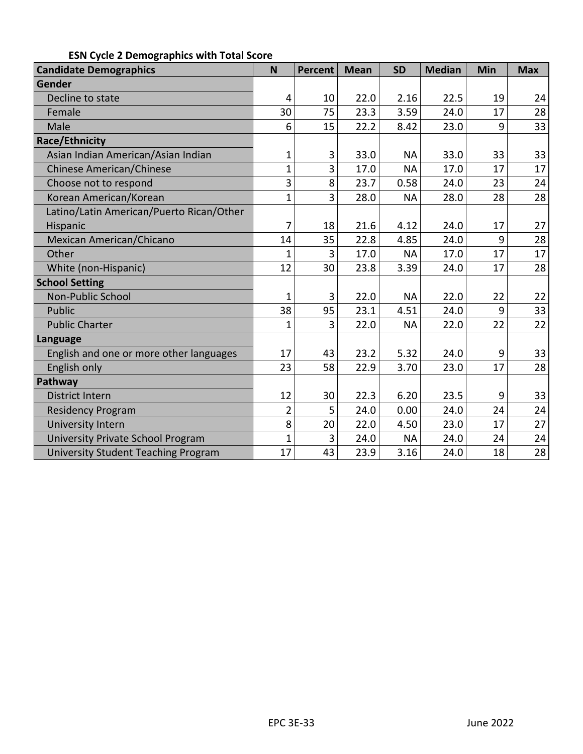| <b>Candidate Demographics</b>              | N              | Percent | <b>Mean</b> | <b>SD</b> | <b>Median</b> | Min | <b>Max</b> |
|--------------------------------------------|----------------|---------|-------------|-----------|---------------|-----|------------|
| Gender                                     |                |         |             |           |               |     |            |
| Decline to state                           | $\overline{4}$ | 10      | 22.0        | 2.16      | 22.5          | 19  | 24         |
| Female                                     | 30             | 75      | 23.3        | 3.59      | 24.0          | 17  | 28         |
| Male                                       | 6              | 15      | 22.2        | 8.42      | 23.0          | 9   | 33         |
| <b>Race/Ethnicity</b>                      |                |         |             |           |               |     |            |
| Asian Indian American/Asian Indian         | $\mathbf 1$    | 3       | 33.0        | <b>NA</b> | 33.0          | 33  | 33         |
| <b>Chinese American/Chinese</b>            | 1              | 3       | 17.0        | <b>NA</b> | 17.0          | 17  | 17         |
| Choose not to respond                      | 3              | 8       | 23.7        | 0.58      | 24.0          | 23  | 24         |
| Korean American/Korean                     | $\overline{1}$ | 3       | 28.0        | <b>NA</b> | 28.0          | 28  | 28         |
| Latino/Latin American/Puerto Rican/Other   |                |         |             |           |               |     |            |
| Hispanic                                   | 7              | 18      | 21.6        | 4.12      | 24.0          | 17  | 27         |
| <b>Mexican American/Chicano</b>            | 14             | 35      | 22.8        | 4.85      | 24.0          | 9   | 28         |
| Other                                      | $\overline{1}$ | 3       | 17.0        | <b>NA</b> | 17.0          | 17  | 17         |
| White (non-Hispanic)                       | 12             | 30      | 23.8        | 3.39      | 24.0          | 17  | 28         |
| <b>School Setting</b>                      |                |         |             |           |               |     |            |
| Non-Public School                          | 1              | 3       | 22.0        | <b>NA</b> | 22.0          | 22  | 22         |
| Public                                     | 38             | 95      | 23.1        | 4.51      | 24.0          | 9   | 33         |
| <b>Public Charter</b>                      | 1              | 3       | 22.0        | <b>NA</b> | 22.0          | 22  | 22         |
| <b>Language</b>                            |                |         |             |           |               |     |            |
| English and one or more other languages    | 17             | 43      | 23.2        | 5.32      | 24.0          | 9   | 33         |
| English only                               | 23             | 58      | 22.9        | 3.70      | 23.0          | 17  | 28         |
| Pathway                                    |                |         |             |           |               |     |            |
| <b>District Intern</b>                     | 12             | 30      | 22.3        | 6.20      | 23.5          | 9   | 33         |
| <b>Residency Program</b>                   | $\overline{2}$ | 5       | 24.0        | 0.00      | 24.0          | 24  | 24         |
| <b>University Intern</b>                   | 8              | 20      | 22.0        | 4.50      | 23.0          | 17  | 27         |
| University Private School Program          | $\mathbf{1}$   | 3       | 24.0        | <b>NA</b> | 24.0          | 24  | 24         |
| <b>University Student Teaching Program</b> | 17             | 43      | 23.9        | 3.16      | 24.0          | 18  | 28         |

# **ESN Cycle 2 Demographics with Total Score**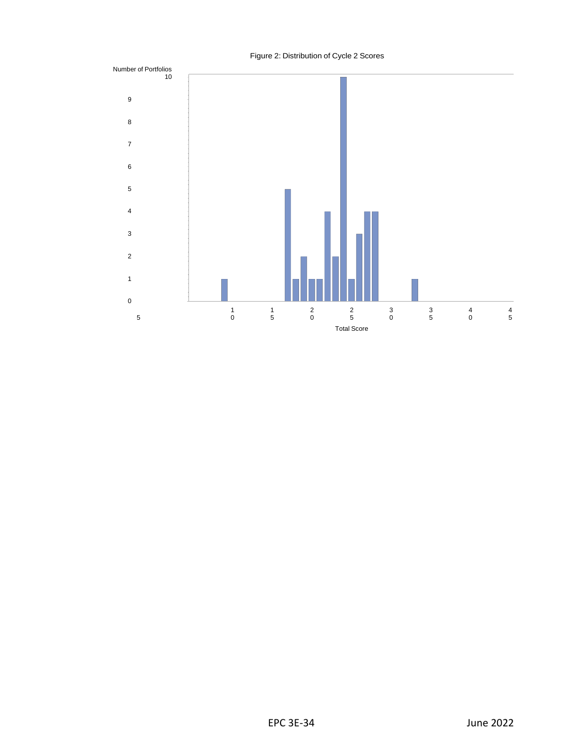<span id="page-34-0"></span>

#### Figure 2: Distribution of Cycle 2 Scores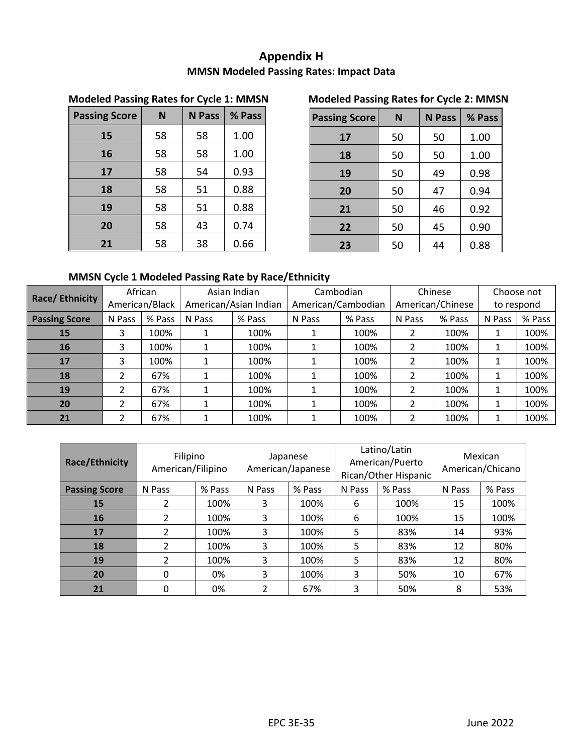# **Appendix H MMSN Modeled Passing Rates: Impact Data**

| <b>Passing Score</b> | N  | <b>N</b> Pass | % Pass |  |
|----------------------|----|---------------|--------|--|
| 15                   | 58 | 58            | 1.00   |  |
| 16                   | 58 | 58            | 1.00   |  |
| 17                   | 58 | 54            | 0.93   |  |
| 18                   | 58 | 51            | 0.88   |  |
| 19                   | 58 | 51            | 0.88   |  |
| 20                   | 58 | 43            | 0.74   |  |
| 21                   | 58 | 38            | 0.66   |  |

# **Modeled Passing Rates for Cycle 1: MMSN Modeled Passing Rates for Cycle 2: MMSN**

| <b>Passing Score</b> | N  | <b>N</b> Pass | % Pass |  |
|----------------------|----|---------------|--------|--|
| 17                   | 50 | 50            | 1.00   |  |
| 18                   | 50 | 50            | 1.00   |  |
| 19                   | 50 | 49            | 0.98   |  |
| 20                   | 50 | 47            | 0.94   |  |
| 21                   | 50 | 46            | 0.92   |  |
| 22                   | 50 | 45            | 0.90   |  |
| 23                   | 50 | 44            | 0.88   |  |

# **MMSN Cycle 1 Modeled Passing Rate by Race/Ethnicity**

| Race/Ethnicity       |                | African |                       | Asian Indian | Cambodian          |        | Chinese          |        | Choose not |        |
|----------------------|----------------|---------|-----------------------|--------------|--------------------|--------|------------------|--------|------------|--------|
|                      | American/Black |         | American/Asian Indian |              | American/Cambodian |        | American/Chinese |        | to respond |        |
| <b>Passing Score</b> | N Pass         | % Pass  | N Pass                | % Pass       | N Pass             | % Pass | N Pass           | % Pass | N Pass     | % Pass |
| 15                   | 3              | 100%    |                       | 100%         |                    | 100%   |                  | 100%   | 1          | 100%   |
| 16                   | 3              | 100%    |                       | 100%         |                    | 100%   | 2                | 100%   |            | 100%   |
| 17                   | 3              | 100%    |                       | 100%         |                    | 100%   |                  | 100%   |            | 100%   |
| 18                   | 2              | 67%     |                       | 100%         |                    | 100%   |                  | 100%   | 1          | 100%   |
| 19                   | 2              | 67%     |                       | 100%         |                    | 100%   | 2                | 100%   | 1          | 100%   |
| 20                   | 2              | 67%     |                       | 100%         |                    | 100%   | 2                | 100%   |            | 100%   |
| 21                   | 2              | 67%     |                       | 100%         |                    | 100%   |                  | 100%   | 1          | 100%   |

| Race/Ethnicity       | Filipino<br>American/Filipino |        | Japanese<br>American/Japanese |        |        | Latino/Latin<br>American/Puerto<br>Rican/Other Hispanic | Mexican<br>American/Chicano |        |
|----------------------|-------------------------------|--------|-------------------------------|--------|--------|---------------------------------------------------------|-----------------------------|--------|
| <b>Passing Score</b> | N Pass                        | % Pass | N Pass                        | % Pass | N Pass | % Pass                                                  | N Pass                      | % Pass |
| 15                   | 2                             | 100%   | 3                             | 100%   | 6      | 100%                                                    | 15                          | 100%   |
| 16                   | $\mathcal{P}$                 | 100%   | 3                             | 100%   | 6      | 100%                                                    | 15                          | 100%   |
| 17                   | $\mathcal{P}$                 | 100%   | 3                             | 100%   | 5      | 83%                                                     | 14                          | 93%    |
| 18                   | $\mathfrak z$                 | 100%   | 3                             | 100%   | 5      | 83%                                                     | 12                          | 80%    |
| 19                   | $\mathfrak{p}$                | 100%   | 3                             | 100%   | 5      | 83%                                                     | 12                          | 80%    |
| 20                   | $\Omega$                      | 0%     | 3                             | 100%   | 3      | 50%                                                     | 10                          | 67%    |
| 21                   | 0                             | 0%     | $\mathfrak z$                 | 67%    | 3      | 50%                                                     | 8                           | 53%    |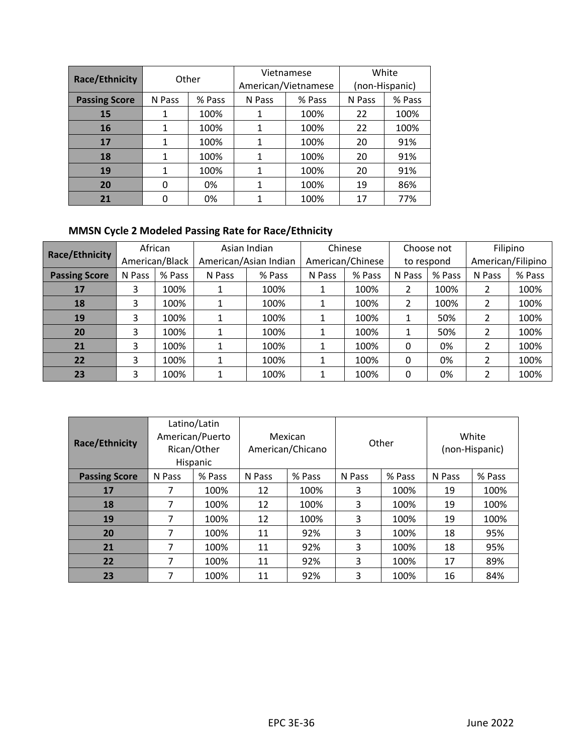| <b>Race/Ethnicity</b> | Other            |      |        | Vietnamese          | White          |        |  |
|-----------------------|------------------|------|--------|---------------------|----------------|--------|--|
|                       |                  |      |        | American/Vietnamese | (non-Hispanic) |        |  |
| <b>Passing Score</b>  | N Pass<br>% Pass |      | N Pass | % Pass              | N Pass         | % Pass |  |
| <b>15</b>             |                  | 100% |        | 100%                | 22             | 100%   |  |
| <b>16</b>             |                  | 100% | 1      | 100%                | 22             | 100%   |  |
| 17                    |                  | 100% |        | 100%                | 20             | 91%    |  |
| 18                    |                  | 100% |        | 100%                | 20             | 91%    |  |
| 19                    |                  | 100% |        | 100%                | 20             | 91%    |  |
| 20                    | n                | 0%   |        | 100%                | 19             | 86%    |  |
| 21                    |                  | 0%   |        | 100%                | 17             | 77%    |  |

# **MMSN Cycle 2 Modeled Passing Rate for Race/Ethnicity**

| Race/Ethnicity       | African        |        | Asian Indian          |        | Chinese          |        | Choose not |        | Filipino          |        |
|----------------------|----------------|--------|-----------------------|--------|------------------|--------|------------|--------|-------------------|--------|
|                      | American/Black |        | American/Asian Indian |        | American/Chinese |        | to respond |        | American/Filipino |        |
| <b>Passing Score</b> | N Pass         | % Pass | N Pass                | % Pass |                  | % Pass | N Pass     | % Pass | N Pass            | % Pass |
| 17                   | 3              | 100%   |                       | 100%   |                  | 100%   | 2          | 100%   | 2                 | 100%   |
| 18                   | 3              | 100%   |                       | 100%   |                  | 100%   | 2          | 100%   | 2                 | 100%   |
| 19                   | 3              | 100%   |                       | 100%   |                  | 100%   | 1          | 50%    | 2                 | 100%   |
| 20                   | 3              | 100%   |                       | 100%   |                  | 100%   | 1          | 50%    | 2                 | 100%   |
| 21                   | 3              | 100%   |                       | 100%   |                  | 100%   | 0          | 0%     | 2                 | 100%   |
| 22                   | 3              | 100%   |                       | 100%   |                  | 100%   | 0          | 0%     | 2                 | 100%   |
| 23                   | 3              | 100%   |                       | 100%   |                  | 100%   | 0          | 0%     | $\mathfrak z$     | 100%   |

| Race/Ethnicity       |        | Latino/Latin<br>American/Puerto<br>Rican/Other<br>Hispanic | Mexican<br>American/Chicano |      |        | Other  | White<br>(non-Hispanic) |        |
|----------------------|--------|------------------------------------------------------------|-----------------------------|------|--------|--------|-------------------------|--------|
| <b>Passing Score</b> | N Pass | % Pass                                                     | % Pass<br>N Pass            |      | N Pass | % Pass | N Pass                  | % Pass |
| 17                   | 7      | 100%                                                       | 12                          | 100% | 3      | 100%   | 19                      | 100%   |
| 18                   | 7      | 100%                                                       | 12                          | 100% | 3      | 100%   | 19                      | 100%   |
| 19                   | 7      | 100%                                                       | 12                          | 100% | 3      | 100%   | 19                      | 100%   |
| 20                   | 7      | 100%                                                       | 11                          | 92%  | 3      | 100%   | 18                      | 95%    |
| 21                   | 7      | 100%                                                       | 11                          | 92%  | 3      | 100%   | 18                      | 95%    |
| 22                   | 7      | 100%                                                       | 11                          | 92%  | 3      | 100%   | 17                      | 89%    |
| 23                   | ⇁      | 100%                                                       | 11                          | 92%  | 3      | 100%   | 16                      | 84%    |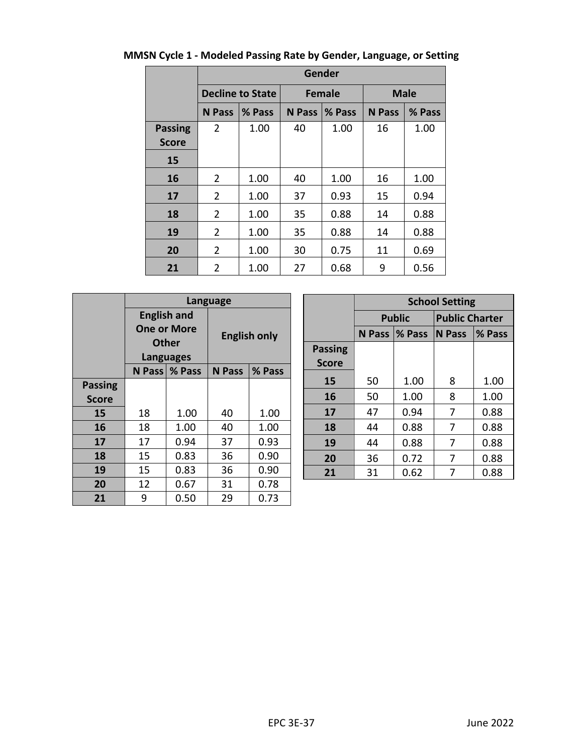|                |                        | Gender                  |               |               |             |        |  |  |  |  |  |
|----------------|------------------------|-------------------------|---------------|---------------|-------------|--------|--|--|--|--|--|
|                |                        | <b>Decline to State</b> |               | <b>Female</b> | <b>Male</b> |        |  |  |  |  |  |
|                | <b>N</b> Pass          | % Pass                  | <b>N</b> Pass | % Pass        |             | % Pass |  |  |  |  |  |
| <b>Passing</b> | 2                      | 1.00                    | 40            | 1.00          | 16          | 1.00   |  |  |  |  |  |
| <b>Score</b>   |                        |                         |               |               |             |        |  |  |  |  |  |
| 15             |                        |                         |               |               |             |        |  |  |  |  |  |
| 16             | $\overline{2}$<br>1.00 |                         | 40            | 1.00          | 16          | 1.00   |  |  |  |  |  |
| 17             | $\overline{2}$         | 1.00                    | 37            | 0.93          | 15          | 0.94   |  |  |  |  |  |
| 18             | $\overline{2}$         | 1.00                    | 35            | 0.88          | 14          | 0.88   |  |  |  |  |  |
| 19             | 2                      | 1.00                    | 35            | 0.88          | 14          | 0.88   |  |  |  |  |  |
| 20             | $\overline{2}$         | 1.00                    | 30            | 0.75          | 11          | 0.69   |  |  |  |  |  |
| 21             | 2                      | 1.00                    | 27            | 0.68          | 9           | 0.56   |  |  |  |  |  |

# **MMSN Cycle 1 - Modeled Passing Rate by Gender, Language, or Setting**

|                |    |                    | Language            |        |  |  |
|----------------|----|--------------------|---------------------|--------|--|--|
|                |    | <b>English and</b> |                     |        |  |  |
|                |    | <b>One or More</b> | <b>English only</b> |        |  |  |
|                |    | Other              |                     |        |  |  |
|                |    | Languages          |                     |        |  |  |
|                |    | N Pass   % Pass    | <b>N</b> Pass       | % Pass |  |  |
| <b>Passing</b> |    |                    |                     |        |  |  |
| <b>Score</b>   |    |                    |                     |        |  |  |
| 15             | 18 | 1.00               | 40                  | 1.00   |  |  |
| 16             | 18 | 1.00               | 40                  | 1.00   |  |  |
| 17             | 17 | 0.94               | 37                  | 0.93   |  |  |
| 18             | 15 | 0.83               | 36                  | 0.90   |  |  |
| 19             | 15 | 0.83               | 36                  | 0.90   |  |  |
| 20             | 12 | 0.67               | 31                  | 0.78   |  |  |
| 21             | 9  | 0.50               | 29                  | 0.73   |  |  |

|                |    | <b>School Setting</b> |                              |               |  |  |  |  |  |  |  |
|----------------|----|-----------------------|------------------------------|---------------|--|--|--|--|--|--|--|
|                |    | <b>Public</b>         | <b>Public Charter</b>        |               |  |  |  |  |  |  |  |
|                |    | N Pass   % Pass       | $\overline{\mathsf{N}}$ Pass | <b>S</b> Pass |  |  |  |  |  |  |  |
| <b>Passing</b> |    |                       |                              |               |  |  |  |  |  |  |  |
| <b>Score</b>   |    |                       |                              |               |  |  |  |  |  |  |  |
| 15             | 50 | 1.00                  | 8                            | 1.00          |  |  |  |  |  |  |  |
| 16             | 50 | 1.00                  | 8                            | 1.00          |  |  |  |  |  |  |  |
| 17             | 47 | 0.94                  | 7                            | 0.88          |  |  |  |  |  |  |  |
| 18             | 44 | 0.88                  | 7                            | 0.88          |  |  |  |  |  |  |  |
| 19             | 44 | 0.88                  | 7                            | 0.88          |  |  |  |  |  |  |  |
| 20             | 36 | 0.72                  | 7                            | 0.88          |  |  |  |  |  |  |  |
| 21             | 31 | 0.62                  |                              | 0.88          |  |  |  |  |  |  |  |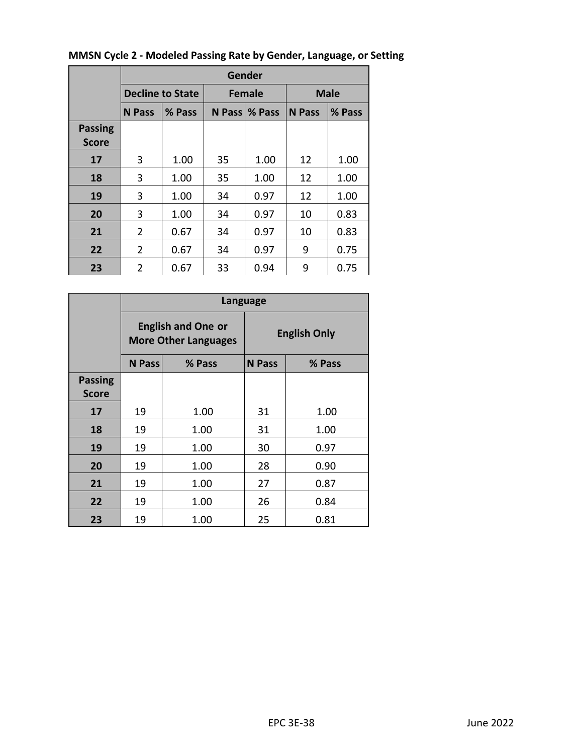|                | Gender         |                         |    |                 |               |        |  |  |  |  |
|----------------|----------------|-------------------------|----|-----------------|---------------|--------|--|--|--|--|
|                |                | <b>Decline to State</b> |    | <b>Female</b>   | <b>Male</b>   |        |  |  |  |  |
|                | N Pass         | % Pass                  |    | N Pass   % Pass | <b>N</b> Pass | % Pass |  |  |  |  |
| <b>Passing</b> |                |                         |    |                 |               |        |  |  |  |  |
| <b>Score</b>   |                |                         |    |                 |               |        |  |  |  |  |
| 17             | 3              | 1.00                    | 35 | 1.00            | 12            | 1.00   |  |  |  |  |
| 18             | 3              | 1.00                    | 35 | 1.00            | 12            | 1.00   |  |  |  |  |
| 19             | 3              | 1.00                    | 34 | 0.97            | 12            | 1.00   |  |  |  |  |
| 20             | 3              | 1.00                    | 34 | 0.97            | 10            | 0.83   |  |  |  |  |
| 21             | 2              | 0.67                    | 34 | 0.97            | 10            | 0.83   |  |  |  |  |
| 22             | 2              | 0.67                    | 34 | 0.97            | 9             | 0.75   |  |  |  |  |
| 23             | $\overline{2}$ | 0.67                    | 33 | 0.94            | 9             | 0.75   |  |  |  |  |

# **MMSN Cycle 2 - Modeled Passing Rate by Gender, Language, or Setting**

|                |               |                                                          | Language            |        |  |  |
|----------------|---------------|----------------------------------------------------------|---------------------|--------|--|--|
|                |               | <b>English and One or</b><br><b>More Other Languages</b> | <b>English Only</b> |        |  |  |
|                | <b>N</b> Pass | % Pass                                                   | <b>N</b> Pass       | % Pass |  |  |
| <b>Passing</b> |               |                                                          |                     |        |  |  |
| <b>Score</b>   |               |                                                          |                     |        |  |  |
| 17             | 19            | 1.00                                                     | 31                  | 1.00   |  |  |
| 18             | 19            | 1.00                                                     | 31                  | 1.00   |  |  |
| 19             | 19            | 1.00                                                     | 30                  | 0.97   |  |  |
| 20             | 19            | 1.00                                                     | 28                  | 0.90   |  |  |
| 21             | 19            | 1.00                                                     | 27                  | 0.87   |  |  |
| 22             | 19            | 1.00                                                     | 26                  | 0.84   |  |  |
| 23             | 19            | 1.00                                                     | 25                  | 0.81   |  |  |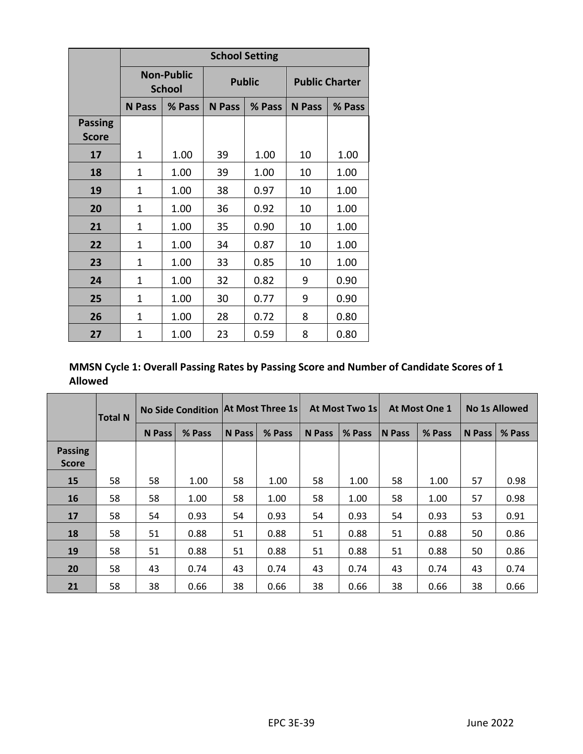|                                |                |                                    | <b>School Setting</b> |               |                       |        |  |
|--------------------------------|----------------|------------------------------------|-----------------------|---------------|-----------------------|--------|--|
|                                |                | <b>Non-Public</b><br><b>School</b> |                       | <b>Public</b> | <b>Public Charter</b> |        |  |
|                                | <b>N</b> Pass  | % Pass                             |                       | % Pass        | <b>N</b> Pass         | % Pass |  |
| <b>Passing</b><br><b>Score</b> |                |                                    |                       |               |                       |        |  |
| 17                             | $\mathbf{1}$   | 1.00                               | 39                    | 1.00          | 10                    | 1.00   |  |
| 18                             | 1              | 1.00                               | 39                    | 1.00<br>10    |                       | 1.00   |  |
| 19                             | 1              | 1.00                               | 38                    | 0.97          | 10                    | 1.00   |  |
| 20                             | 1              | 1.00                               | 36                    | 0.92          | 10                    | 1.00   |  |
| 21                             | 1              | 1.00                               | 35                    | 0.90          | 10                    | 1.00   |  |
| 22                             | 1              | 1.00                               | 34                    | 0.87          | 10                    | 1.00   |  |
| 23                             | 1              | 1.00                               | 33                    | 0.85          | 10                    | 1.00   |  |
| 24                             | 1              | 1.00                               | 32                    | 0.82          | 9                     | 0.90   |  |
| 25                             | $\overline{1}$ | 1.00                               | 30                    | 0.77          | 9                     | 0.90   |  |
| 26                             | 1              | 1.00                               | 28                    | 0.72          | 8                     | 0.80   |  |
| 27                             | 1              | 1.00                               | 23                    | 0.59          | 8                     | 0.80   |  |

**MMSN Cycle 1: Overall Passing Rates by Passing Score and Number of Candidate Scores of 1 Allowed**

|                                | <b>Total N</b> | No Side Condition At Most Three 1s |        |               |        |        | At Most Two 1s |               | At Most One 1 |               | <b>No 1s Allowed</b> |  |
|--------------------------------|----------------|------------------------------------|--------|---------------|--------|--------|----------------|---------------|---------------|---------------|----------------------|--|
|                                |                | N Pass                             | % Pass | <b>N</b> Pass | % Pass | N Pass | % Pass         | <b>N</b> Pass | % Pass        | <b>N</b> Pass | % Pass               |  |
| <b>Passing</b><br><b>Score</b> |                |                                    |        |               |        |        |                |               |               |               |                      |  |
| 15                             | 58             | 58                                 | 1.00   | 58            | 1.00   | 58     | 1.00           | 58            | 1.00          | 57            | 0.98                 |  |
| 16                             | 58             | 58                                 | 1.00   | 58            | 1.00   | 58     | 1.00           | 58            | 1.00          | 57            | 0.98                 |  |
| 17                             | 58             | 54                                 | 0.93   | 54            | 0.93   | 54     | 0.93           | 54            | 0.93          | 53            | 0.91                 |  |
| 18                             | 58             | 51                                 | 0.88   | 51            | 0.88   | 51     | 0.88           | 51            | 0.88          | 50            | 0.86                 |  |
| 19                             | 58             | 51                                 | 0.88   | 51            | 0.88   | 51     | 0.88           | 51            | 0.88          | 50            | 0.86                 |  |
| 20                             | 58             | 43                                 | 0.74   | 43            | 0.74   | 43     | 0.74           | 43            | 0.74          | 43            | 0.74                 |  |
| 21                             | 58             | 38                                 | 0.66   | 38            | 0.66   | 38     | 0.66           | 38            | 0.66          | 38            | 0.66                 |  |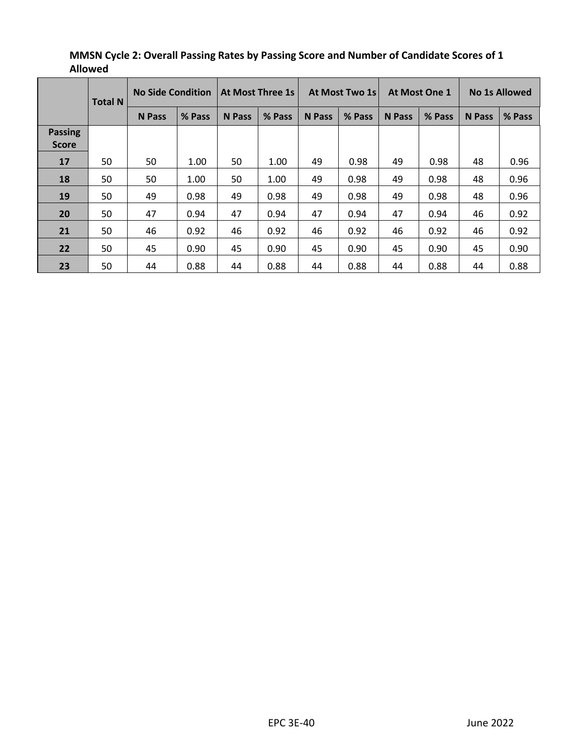|                | <b>Total N</b> | <b>No Side Condition</b> |        |               | <b>At Most Three 1s</b> |               | At Most Two 1s |        | <b>At Most One 1</b> |               | <b>No 1s Allowed</b> |  |
|----------------|----------------|--------------------------|--------|---------------|-------------------------|---------------|----------------|--------|----------------------|---------------|----------------------|--|
|                |                | <b>N</b> Pass            | % Pass | <b>N</b> Pass | % Pass                  | <b>N</b> Pass | % Pass         | N Pass | % Pass               | <b>N</b> Pass | % Pass               |  |
| <b>Passing</b> |                |                          |        |               |                         |               |                |        |                      |               |                      |  |
| <b>Score</b>   |                |                          |        |               |                         |               |                |        |                      |               |                      |  |
| 17             | 50             | 50                       | 1.00   | 50            | 1.00                    | 49            | 0.98           | 49     | 0.98                 | 48            | 0.96                 |  |
| 18             | 50             | 50                       | 1.00   | 50            | 1.00                    | 49            | 0.98           | 49     | 0.98                 | 48            | 0.96                 |  |
| 19             | 50             | 49                       | 0.98   | 49            | 0.98                    | 49            | 0.98           | 49     | 0.98                 | 48            | 0.96                 |  |
| 20             | 50             | 47                       | 0.94   | 47            | 0.94                    | 47            | 0.94           | 47     | 0.94                 | 46            | 0.92                 |  |
| 21             | 50             | 46                       | 0.92   | 46            | 0.92                    | 46            | 0.92           | 46     | 0.92                 | 46            | 0.92                 |  |
| 22             | 50             | 45                       | 0.90   | 45            | 0.90                    | 45            | 0.90           | 45     | 0.90                 | 45            | 0.90                 |  |
| 23             | 50             | 44                       | 0.88   | 44            | 0.88                    | 44            | 0.88           | 44     | 0.88                 | 44            | 0.88                 |  |

# **MMSN Cycle 2: Overall Passing Rates by Passing Score and Number of Candidate Scores of 1 Allowed**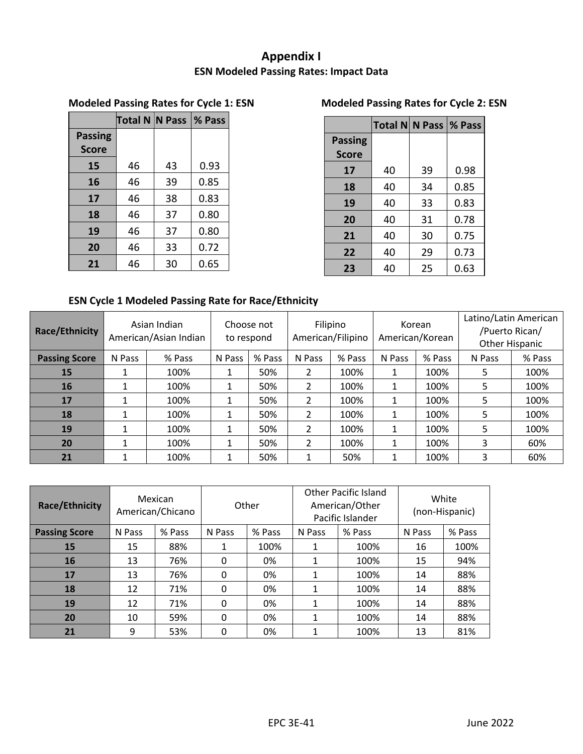# **Appendix I ESN Modeled Passing Rates: Impact Data**

# **Modeled Passing Rates for Cycle 1: ESN Modeled Passing Rates for Cycle 2: ESN**

|                | Total N N Pass  % Pass |    |      |
|----------------|------------------------|----|------|
| <b>Passing</b> |                        |    |      |
| <b>Score</b>   |                        |    |      |
| 15             | 46                     | 43 | 0.93 |
| 16             | 46                     | 39 | 0.85 |
| 17             | 46                     | 38 | 0.83 |
| 18             | 46                     | 37 | 0.80 |
| 19             | 46                     | 37 | 0.80 |
| 20             | 46                     | 33 | 0.72 |
| 21             | 46                     | 30 | 0.65 |

<span id="page-41-0"></span>

|                |    | Total N N Pass   % Pass |      |
|----------------|----|-------------------------|------|
| <b>Passing</b> |    |                         |      |
| <b>Score</b>   |    |                         |      |
| 17             | 40 | 39                      | 0.98 |
| 18             | 40 | 34                      | 0.85 |
| 19             | 40 | 33                      | 0.83 |
| 20             | 40 | 31                      | 0.78 |
| 21             | 40 | 30                      | 0.75 |
| 22             | 40 | 29                      | 0.73 |
| 23             | 40 | 25                      | 0.63 |

# **ESN Cycle 1 Modeled Passing Rate for Race/Ethnicity**

| Race/Ethnicity       | Asian Indian<br>American/Asian Indian |        | Choose not<br>to respond |        | Filipino<br>American/Filipino |        | Korean<br>American/Korean |        | Latino/Latin American<br>/Puerto Rican/<br>Other Hispanic |        |
|----------------------|---------------------------------------|--------|--------------------------|--------|-------------------------------|--------|---------------------------|--------|-----------------------------------------------------------|--------|
| <b>Passing Score</b> | N Pass                                | % Pass | N Pass                   | % Pass | N Pass                        | % Pass | N Pass                    | % Pass | N Pass                                                    | % Pass |
| 15                   |                                       | 100%   |                          | 50%    | ำ                             | 100%   |                           | 100%   | 5                                                         | 100%   |
| <b>16</b>            |                                       | 100%   |                          | 50%    | $\mathcal{P}$                 | 100%   |                           | 100%   | 5                                                         | 100%   |
| 17                   |                                       | 100%   |                          | 50%    | ำ                             | 100%   |                           | 100%   | 5                                                         | 100%   |
| 18                   |                                       | 100%   |                          | 50%    | 2                             | 100%   |                           | 100%   | 5                                                         | 100%   |
| 19                   |                                       | 100%   |                          | 50%    | ว                             | 100%   |                           | 100%   | 5                                                         | 100%   |
| 20                   |                                       | 100%   |                          | 50%    | $\mathcal{P}$                 | 100%   |                           | 100%   | 3                                                         | 60%    |
| 21                   |                                       | 100%   |                          | 50%    |                               | 50%    |                           | 100%   | 3                                                         | 60%    |

| Race/Ethnicity       |        | Mexican<br>American/Chicano | Other  |        |        | Other Pacific Island<br>American/Other<br>Pacific Islander | White<br>(non-Hispanic) |        |
|----------------------|--------|-----------------------------|--------|--------|--------|------------------------------------------------------------|-------------------------|--------|
| <b>Passing Score</b> | N Pass | % Pass                      | N Pass | % Pass | N Pass | % Pass                                                     | N Pass                  | % Pass |
| 15                   | 15     | 88%                         |        | 100%   | 1      | 100%                                                       | 16                      | 100%   |
| 16                   | 13     | 76%                         | 0      | 0%     | 1      | 100%                                                       | 15                      | 94%    |
| 17                   | 13     | 76%                         | 0      | 0%     | 1      | 100%                                                       | 14                      | 88%    |
| 18                   | 12     | 71%                         | 0      | 0%     | 1      | 100%                                                       | 14                      | 88%    |
| 19                   | 12     | 71%                         | 0      | 0%     | 1      | 100%                                                       | 14                      | 88%    |
| 20                   | 10     | 59%                         | 0      | 0%     | 1      | 100%                                                       | 14                      | 88%    |
| 21                   | 9      | 53%                         | 0      | 0%     | 1      | 100%                                                       | 13                      | 81%    |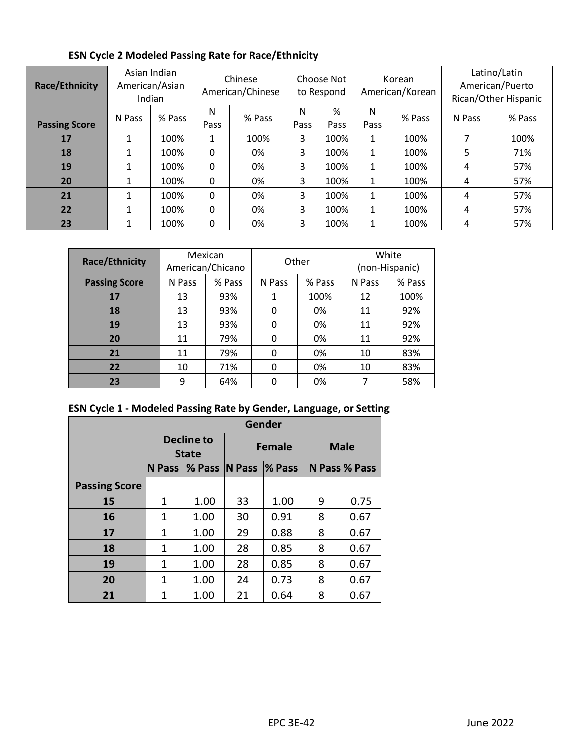| Race/Ethnicity       |              | Asian Indian<br>American/Asian<br>Indian | Chinese<br>American/Chinese |        | Choose Not<br>to Respond |           | Korean<br>American/Korean |        | Latino/Latin<br>American/Puerto<br>Rican/Other Hispanic |        |
|----------------------|--------------|------------------------------------------|-----------------------------|--------|--------------------------|-----------|---------------------------|--------|---------------------------------------------------------|--------|
| <b>Passing Score</b> | N Pass       | % Pass                                   | N<br>Pass                   | % Pass | N<br>Pass                | %<br>Pass | N<br>Pass                 | % Pass | N Pass                                                  | % Pass |
| 17                   |              | 100%                                     | $\mathbf{1}$                | 100%   | 3                        | 100%      | 1                         | 100%   | ⇁                                                       | 100%   |
| 18                   |              | 100%                                     | 0                           | 0%     | 3                        | 100%      | 1                         | 100%   | 5                                                       | 71%    |
| 19                   | 1            | 100%                                     | 0                           | 0%     | 3                        | 100%      | 1                         | 100%   | 4                                                       | 57%    |
| 20                   | $\mathbf{1}$ | 100%                                     | 0                           | 0%     | 3                        | 100%      | 1                         | 100%   | 4                                                       | 57%    |
| 21                   |              | 100%                                     | 0                           | 0%     | 3                        | 100%      | 1                         | 100%   | 4                                                       | 57%    |
| 22                   | 1            | 100%                                     | 0                           | 0%     | 3                        | 100%      | 1                         | 100%   | 4                                                       | 57%    |
| 23                   | 1            | 100%                                     | 0                           | 0%     | 3                        | 100%      | ◢                         | 100%   | 4                                                       | 57%    |

# **ESN Cycle 2 Modeled Passing Rate for Race/Ethnicity**

| Race/Ethnicity       | Mexican<br>American/Chicano |        | Other    |        | White<br>(non-Hispanic) |        |
|----------------------|-----------------------------|--------|----------|--------|-------------------------|--------|
| <b>Passing Score</b> | N Pass                      | % Pass | N Pass   | % Pass | N Pass                  | % Pass |
| 17                   | 13                          | 93%    |          | 100%   | 12                      | 100%   |
| 18                   | 13                          | 93%    | 0        | 0%     | 11                      | 92%    |
| 19                   | 13                          | 93%    | $\Omega$ | 0%     | 11                      | 92%    |
| 20                   | 11                          | 79%    | O        | 0%     | 11                      | 92%    |
| 21                   | 11                          | 79%    | 0        | 0%     | 10                      | 83%    |
| 22                   | 10                          | 71%    | 0        | 0%     | 10                      | 83%    |
| 23                   | 9                           | 64%    |          | 0%     | 7                       | 58%    |

# **ESN Cycle 1 - Modeled Passing Rate by Gender, Language, or Setting**

|                      |                                   | Gender           |    |               |             |               |  |  |  |
|----------------------|-----------------------------------|------------------|----|---------------|-------------|---------------|--|--|--|
|                      | <b>Decline to</b><br><b>State</b> |                  |    | <b>Female</b> | <b>Male</b> |               |  |  |  |
|                      | <b>N</b> Pass                     | $\%$ Pass N Pass |    | <b>% Pass</b> |             | N Pass % Pass |  |  |  |
| <b>Passing Score</b> |                                   |                  |    |               |             |               |  |  |  |
| 15                   | 1                                 | 1.00             | 33 | 1.00          | 9           | 0.75          |  |  |  |
| 16                   | 1                                 | 1.00             | 30 | 0.91          | 8           | 0.67          |  |  |  |
| 17                   | 1                                 | 1.00             | 29 | 0.88          | 8           | 0.67          |  |  |  |
| 18                   | 1                                 | 1.00             | 28 | 0.85          | 8           | 0.67          |  |  |  |
| 19                   | 1                                 | 1.00             | 28 | 0.85          | 8           | 0.67          |  |  |  |
| 20                   | 1                                 | 1.00             | 24 | 0.73          | 8           | 0.67          |  |  |  |
| 21                   |                                   | 1.00             | 21 | 0.64          | 8           | 0.67          |  |  |  |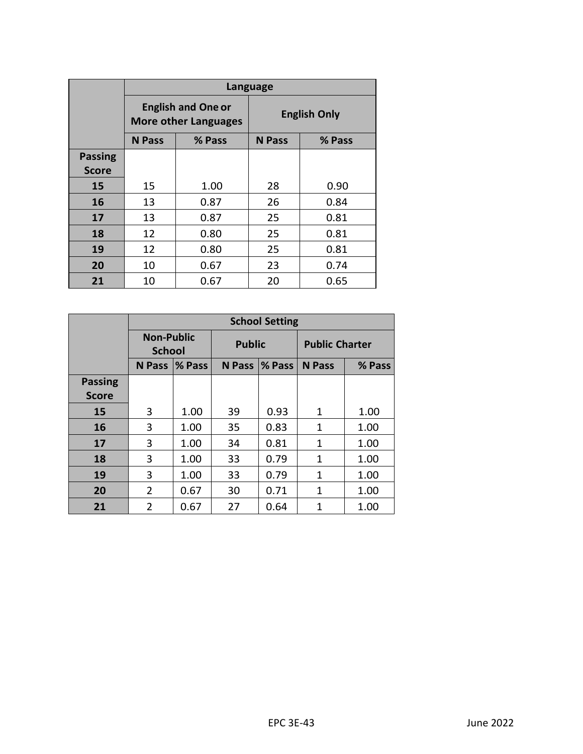|                | <b>Language</b> |                                                          |                     |        |  |  |  |
|----------------|-----------------|----------------------------------------------------------|---------------------|--------|--|--|--|
|                |                 | <b>English and One or</b><br><b>More other Languages</b> | <b>English Only</b> |        |  |  |  |
|                | <b>N</b> Pass   | % Pass                                                   | N Pass              | % Pass |  |  |  |
| <b>Passing</b> |                 |                                                          |                     |        |  |  |  |
| <b>Score</b>   |                 |                                                          |                     |        |  |  |  |
| 15             | 15              | 1.00                                                     | 28                  | 0.90   |  |  |  |
| 16             | 13              | 0.87                                                     | 26                  | 0.84   |  |  |  |
| 17             | 13              | 0.87                                                     | 25                  | 0.81   |  |  |  |
| 18             | 12              | 0.80                                                     | 25                  | 0.81   |  |  |  |
| 19             | 12              | 0.80                                                     | 25                  | 0.81   |  |  |  |
| 20             | 10              | 0.67                                                     | 23                  | 0.74   |  |  |  |
| 21             | 10              | 0.67                                                     | 20                  | 0.65   |  |  |  |

|                |                                    | <b>School Setting</b> |               |        |                       |        |  |  |  |
|----------------|------------------------------------|-----------------------|---------------|--------|-----------------------|--------|--|--|--|
|                | <b>Non-Public</b><br><b>School</b> |                       | <b>Public</b> |        | <b>Public Charter</b> |        |  |  |  |
|                | <b>N</b> Pass                      | <b>% Pass</b>         | <b>N</b> Pass | % Pass | <b>N</b> Pass         | % Pass |  |  |  |
| <b>Passing</b> |                                    |                       |               |        |                       |        |  |  |  |
| <b>Score</b>   |                                    |                       |               |        |                       |        |  |  |  |
| 15             | 3                                  | 1.00                  | 39            | 0.93   | 1                     | 1.00   |  |  |  |
| 16             | 3                                  | 1.00                  | 35            | 0.83   | 1                     | 1.00   |  |  |  |
| 17             | 3                                  | 1.00                  | 34            | 0.81   | 1                     | 1.00   |  |  |  |
| 18             | 3                                  | 1.00                  | 33            | 0.79   | 1                     | 1.00   |  |  |  |
| 19             | 3                                  | 1.00                  | 33            | 0.79   | 1                     | 1.00   |  |  |  |
| 20             | $\overline{2}$                     | 0.67                  | 30            | 0.71   | 1                     | 1.00   |  |  |  |
| 21             | $\overline{2}$                     | 0.67                  | 27            | 0.64   | 1                     | 1.00   |  |  |  |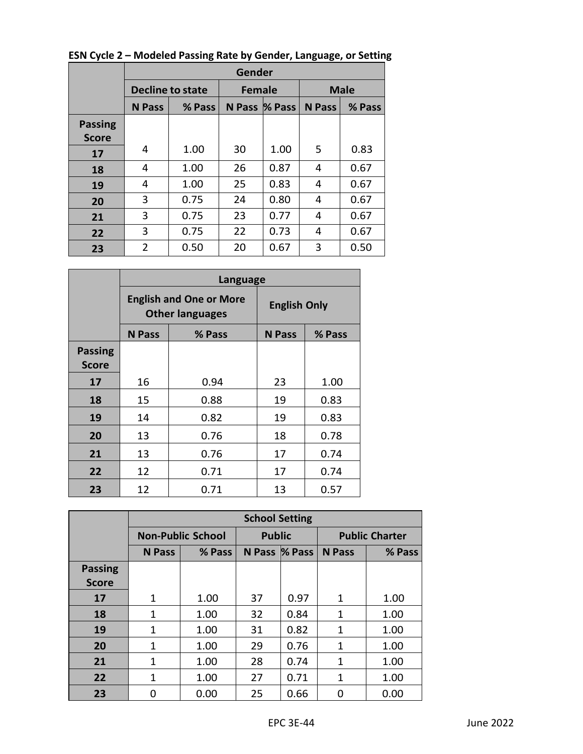|                                | Gender         |                         |               |               |               |        |  |  |
|--------------------------------|----------------|-------------------------|---------------|---------------|---------------|--------|--|--|
|                                |                | <b>Decline to state</b> | <b>Female</b> |               | <b>Male</b>   |        |  |  |
|                                | <b>N</b> Pass  | % Pass                  |               | N Pass % Pass | <b>N</b> Pass | % Pass |  |  |
| <b>Passing</b><br><b>Score</b> |                |                         |               |               |               |        |  |  |
| 17                             | 4              | 1.00                    | 30            | 1.00          | 5             | 0.83   |  |  |
| 18                             | 4              | 1.00                    | 26            | 0.87          | 4             | 0.67   |  |  |
| 19                             | 4              | 1.00                    | 25            | 0.83          | 4             | 0.67   |  |  |
| 20                             | 3              | 0.75                    | 24            | 0.80          | 4             | 0.67   |  |  |
| 21                             | 3              | 0.75                    | 23            | 0.77          | 4             | 0.67   |  |  |
| 22                             | 3              | 0.75                    | 22            | 0.73          | 4             | 0.67   |  |  |
| 23                             | $\overline{2}$ | 0.50                    | 20            | 0.67          | 3             | 0.50   |  |  |

**ESN Cycle 2 – Modeled Passing Rate by Gender, Language, or Setting**

|                                | <b>Language</b> |                                                          |                         |      |  |  |  |  |
|--------------------------------|-----------------|----------------------------------------------------------|-------------------------|------|--|--|--|--|
|                                |                 | <b>English and One or More</b><br><b>Other languages</b> | <b>English Only</b>     |      |  |  |  |  |
|                                | <b>N</b> Pass   | % Pass                                                   | <b>N</b> Pass<br>% Pass |      |  |  |  |  |
| <b>Passing</b><br><b>Score</b> |                 |                                                          |                         |      |  |  |  |  |
| 17                             | 16              | 0.94                                                     | 23                      | 1.00 |  |  |  |  |
| 18                             | 15              | 0.88                                                     | 19                      | 0.83 |  |  |  |  |
| 19                             | 14              | 0.82                                                     | 19                      | 0.83 |  |  |  |  |
| 20                             | 13              | 0.76                                                     | 18                      | 0.78 |  |  |  |  |
| 21                             | 13              | 0.76                                                     | 17                      | 0.74 |  |  |  |  |
| 22                             | 12              | 0.71                                                     | 17<br>0.74              |      |  |  |  |  |
| 23                             | 12              | 0.71                                                     | 13                      | 0.57 |  |  |  |  |

|                | <b>School Setting</b> |                          |               |               |                       |        |  |
|----------------|-----------------------|--------------------------|---------------|---------------|-----------------------|--------|--|
|                |                       | <b>Non-Public School</b> | <b>Public</b> |               | <b>Public Charter</b> |        |  |
|                | <b>N</b> Pass         | % Pass                   |               | N Pass % Pass | <b>N</b> Pass         | % Pass |  |
| <b>Passing</b> |                       |                          |               |               |                       |        |  |
| <b>Score</b>   |                       |                          |               |               |                       |        |  |
| 17             | 1                     | 1.00                     | 37            | 0.97          | 1                     | 1.00   |  |
| 18             | 1                     | 1.00                     | 32            | 0.84          | 1                     | 1.00   |  |
| 19             | 1                     | 1.00                     | 31            | 0.82          | 1                     | 1.00   |  |
| 20             | 1                     | 1.00                     | 29            | 0.76          | 1                     | 1.00   |  |
| 21             | 1                     | 1.00                     | 28            | 0.74          | 1                     | 1.00   |  |
| 22             | $\mathbf{1}$          | 1.00                     | 27            | 0.71          | 1                     | 1.00   |  |
| 23             | O                     | 0.00                     | 25            | 0.66          | O                     | 0.00   |  |